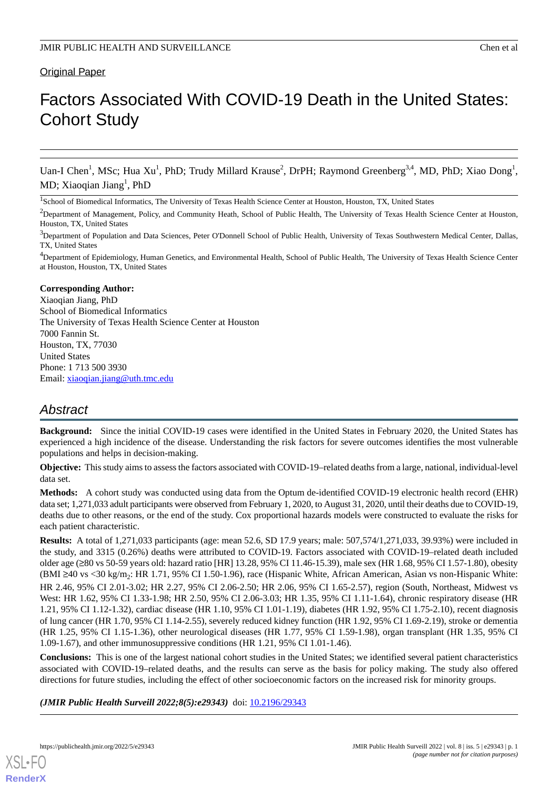# Factors Associated With COVID-19 Death in the United States: Cohort Study

Uan-I Chen<sup>1</sup>, MSc; Hua Xu<sup>1</sup>, PhD; Trudy Millard Krause<sup>2</sup>, DrPH; Raymond Greenberg<sup>3,4</sup>, MD, PhD; Xiao Dong<sup>1</sup>, MD; Xiaoqian Jiang<sup>1</sup>, PhD

<sup>1</sup>School of Biomedical Informatics, The University of Texas Health Science Center at Houston, Houston, TX, United States

<sup>2</sup>Department of Management, Policy, and Community Heath, School of Public Health, The University of Texas Health Science Center at Houston, Houston, TX, United States

<sup>3</sup>Department of Population and Data Sciences, Peter O'Donnell School of Public Health, University of Texas Southwestern Medical Center, Dallas, TX, United States

<sup>4</sup>Department of Epidemiology, Human Genetics, and Environmental Health, School of Public Health, The University of Texas Health Science Center at Houston, Houston, TX, United States

#### **Corresponding Author:**

Xiaoqian Jiang, PhD School of Biomedical Informatics The University of Texas Health Science Center at Houston 7000 Fannin St. Houston, TX, 77030 United States Phone: 1 713 500 3930 Email: [xiaoqian.jiang@uth.tmc.edu](mailto:xiaoqian.jiang@uth.tmc.edu)

# *Abstract*

**Background:** Since the initial COVID-19 cases were identified in the United States in February 2020, the United States has experienced a high incidence of the disease. Understanding the risk factors for severe outcomes identifies the most vulnerable populations and helps in decision-making.

**Objective:** This study aims to assess the factors associated with COVID-19–related deaths from a large, national, individual-level data set.

**Methods:** A cohort study was conducted using data from the Optum de-identified COVID-19 electronic health record (EHR) data set; 1,271,033 adult participants were observed from February 1, 2020, to August 31, 2020, until their deaths due to COVID-19, deaths due to other reasons, or the end of the study. Cox proportional hazards models were constructed to evaluate the risks for each patient characteristic.

**Results:** A total of 1,271,033 participants (age: mean 52.6, SD 17.9 years; male: 507,574/1,271,033, 39.93%) were included in the study, and 3315 (0.26%) deaths were attributed to COVID-19. Factors associated with COVID-19–related death included older age (≥80 vs 50-59 years old: hazard ratio [HR] 13.28, 95% CI 11.46-15.39), male sex (HR 1.68, 95% CI 1.57-1.80), obesity (BMI ≥40 vs <30 kg/m<sub>2</sub>: HR 1.71, 95% CI 1.50-1.96), race (Hispanic White, African American, Asian vs non-Hispanic White: HR 2.46, 95% CI 2.01-3.02; HR 2.27, 95% CI 2.06-2.50; HR 2.06, 95% CI 1.65-2.57), region (South, Northeast, Midwest vs West: HR 1.62, 95% CI 1.33-1.98; HR 2.50, 95% CI 2.06-3.03; HR 1.35, 95% CI 1.11-1.64), chronic respiratory disease (HR 1.21, 95% CI 1.12-1.32), cardiac disease (HR 1.10, 95% CI 1.01-1.19), diabetes (HR 1.92, 95% CI 1.75-2.10), recent diagnosis of lung cancer (HR 1.70, 95% CI 1.14-2.55), severely reduced kidney function (HR 1.92, 95% CI 1.69-2.19), stroke or dementia (HR 1.25, 95% CI 1.15-1.36), other neurological diseases (HR 1.77, 95% CI 1.59-1.98), organ transplant (HR 1.35, 95% CI 1.09-1.67), and other immunosuppressive conditions (HR 1.21, 95% CI 1.01-1.46).

**Conclusions:** This is one of the largest national cohort studies in the United States; we identified several patient characteristics associated with COVID-19–related deaths, and the results can serve as the basis for policy making. The study also offered directions for future studies, including the effect of other socioeconomic factors on the increased risk for minority groups.

*(JMIR Public Health Surveill 2022;8(5):e29343)* doi: [10.2196/29343](http://dx.doi.org/10.2196/29343)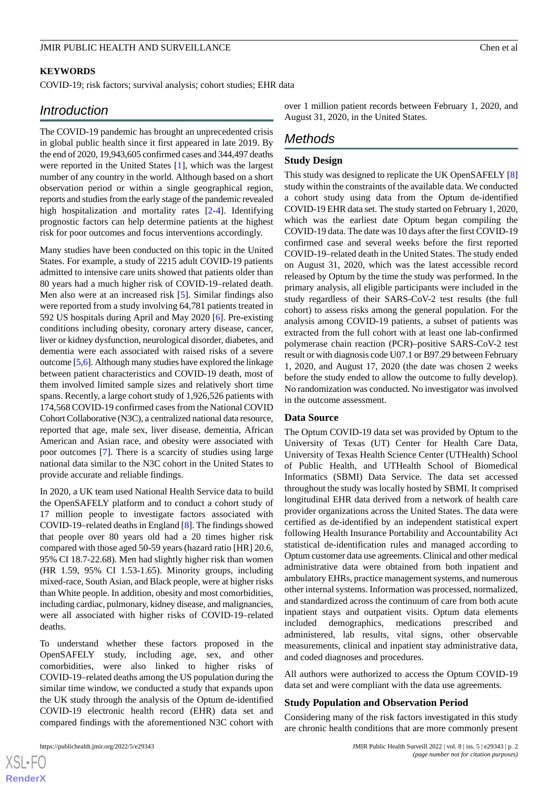#### **KEYWORDS**

COVID-19; risk factors; survival analysis; cohort studies; EHR data

# *Introduction*

The COVID-19 pandemic has brought an unprecedented crisis in global public health since it first appeared in late 2019. By the end of 2020, 19,943,605 confirmed cases and 344,497 deaths were reported in the United States [\[1](#page-20-0)], which was the largest number of any country in the world. Although based on a short observation period or within a single geographical region, reports and studies from the early stage of the pandemic revealed high hospitalization and mortality rates [\[2](#page-20-1)[-4](#page-20-2)]. Identifying prognostic factors can help determine patients at the highest risk for poor outcomes and focus interventions accordingly.

Many studies have been conducted on this topic in the United States. For example, a study of 2215 adult COVID-19 patients admitted to intensive care units showed that patients older than 80 years had a much higher risk of COVID-19–related death. Men also were at an increased risk [[5\]](#page-20-3). Similar findings also were reported from a study involving 64,781 patients treated in 592 US hospitals during April and May 2020 [\[6](#page-20-4)]. Pre-existing conditions including obesity, coronary artery disease, cancer, liver or kidney dysfunction, neurological disorder, diabetes, and dementia were each associated with raised risks of a severe outcome [[5](#page-20-3),[6\]](#page-20-4). Although many studies have explored the linkage between patient characteristics and COVID-19 death, most of them involved limited sample sizes and relatively short time spans. Recently, a large cohort study of 1,926,526 patients with 174,568 COVID-19 confirmed cases from the National COVID Cohort Collaborative (N3C), a centralized national data resource, reported that age, male sex, liver disease, dementia, African American and Asian race, and obesity were associated with poor outcomes [[7](#page-20-5)]. There is a scarcity of studies using large national data similar to the N3C cohort in the United States to provide accurate and reliable findings.

In 2020, a UK team used National Health Service data to build the OpenSAFELY platform and to conduct a cohort study of 17 million people to investigate factors associated with COVID-19–related deaths in England [[8\]](#page-20-6). The findings showed that people over 80 years old had a 20 times higher risk compared with those aged 50-59 years (hazard ratio [HR] 20.6, 95% CI 18.7-22.68). Men had slightly higher risk than women (HR 1.59, 95% CI 1.53-1.65). Minority groups, including mixed-race, South Asian, and Black people, were at higher risks than White people. In addition, obesity and most comorbidities, including cardiac, pulmonary, kidney disease, and malignancies, were all associated with higher risks of COVID-19–related deaths.

To understand whether these factors proposed in the OpenSAFELY study, including age, sex, and other comorbidities, were also linked to higher risks of COVID-19–related deaths among the US population during the similar time window, we conducted a study that expands upon the UK study through the analysis of the Optum de-identified COVID-19 electronic health record (EHR) data set and compared findings with the aforementioned N3C cohort with

over 1 million patient records between February 1, 2020, and August 31, 2020, in the United States.

# *Methods*

#### **Study Design**

This study was designed to replicate the UK OpenSAFELY [\[8](#page-20-6)] study within the constraints of the available data. We conducted a cohort study using data from the Optum de-identified COVID-19 EHR data set. The study started on February 1, 2020, which was the earliest date Optum began compiling the COVID-19 data. The date was 10 days after the first COVID-19 confirmed case and several weeks before the first reported COVID-19–related death in the United States. The study ended on August 31, 2020, which was the latest accessible record released by Optum by the time the study was performed. In the primary analysis, all eligible participants were included in the study regardless of their SARS-CoV-2 test results (the full cohort) to assess risks among the general population. For the analysis among COVID-19 patients, a subset of patients was extracted from the full cohort with at least one lab-confirmed polymerase chain reaction (PCR)–positive SARS-CoV-2 test result or with diagnosis code U07.1 or B97.29 between February 1, 2020, and August 17, 2020 (the date was chosen 2 weeks before the study ended to allow the outcome to fully develop). No randomization was conducted. No investigator was involved in the outcome assessment.

#### **Data Source**

The Optum COVID-19 data set was provided by Optum to the University of Texas (UT) Center for Health Care Data, University of Texas Health Science Center (UTHealth) School of Public Health, and UTHealth School of Biomedical Informatics (SBMI) Data Service. The data set accessed throughout the study was locally hosted by SBMI. It comprised longitudinal EHR data derived from a network of health care provider organizations across the United States. The data were certified as de-identified by an independent statistical expert following Health Insurance Portability and Accountability Act statistical de-identification rules and managed according to Optum customer data use agreements. Clinical and other medical administrative data were obtained from both inpatient and ambulatory EHRs, practice management systems, and numerous other internal systems. Information was processed, normalized, and standardized across the continuum of care from both acute inpatient stays and outpatient visits. Optum data elements included demographics, medications prescribed and administered, lab results, vital signs, other observable measurements, clinical and inpatient stay administrative data, and coded diagnoses and procedures.

All authors were authorized to access the Optum COVID-19 data set and were compliant with the data use agreements.

#### **Study Population and Observation Period**

Considering many of the risk factors investigated in this study are chronic health conditions that are more commonly present

 $XS$  $\cdot$ FC **[RenderX](http://www.renderx.com/)**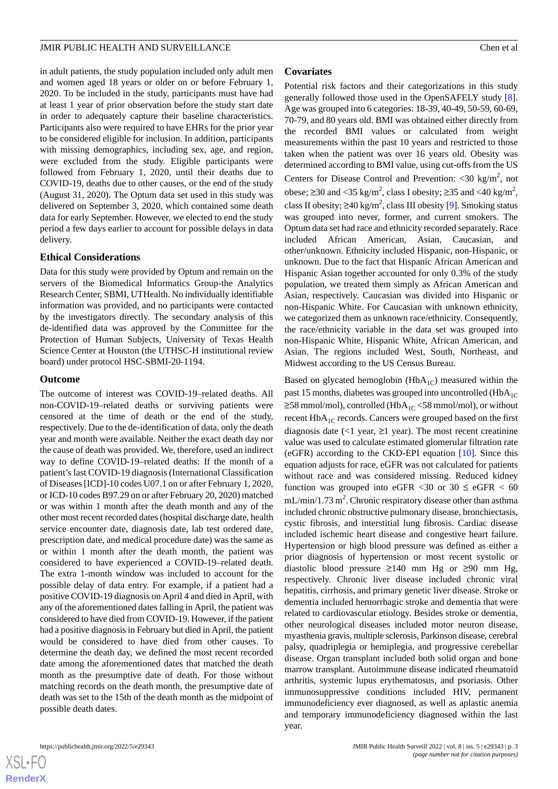in adult patients, the study population included only adult men and women aged 18 years or older on or before February 1, 2020. To be included in the study, participants must have had at least 1 year of prior observation before the study start date in order to adequately capture their baseline characteristics. Participants also were required to have EHRs for the prior year to be considered eligible for inclusion. In addition, participants with missing demographics, including sex, age, and region, were excluded from the study. Eligible participants were followed from February 1, 2020, until their deaths due to COVID-19, deaths due to other causes, or the end of the study (August 31, 2020). The Optum data set used in this study was delivered on September 3, 2020, which contained some death data for early September. However, we elected to end the study period a few days earlier to account for possible delays in data delivery.

#### **Ethical Considerations**

Data for this study were provided by Optum and remain on the servers of the Biomedical Informatics Group-the Analytics Research Center, SBMI, UTHealth. No individually identifiable information was provided, and no participants were contacted by the investigators directly. The secondary analysis of this de-identified data was approved by the Committee for the Protection of Human Subjects, University of Texas Health Science Center at Houston (the UTHSC-H institutional review board) under protocol HSC-SBMI-20-1194.

#### **Outcome**

The outcome of interest was COVID-19–related deaths. All non-COVID-19–related deaths or surviving patients were censored at the time of death or the end of the study, respectively. Due to the de-identification of data, only the death year and month were available. Neither the exact death day nor the cause of death was provided. We, therefore, used an indirect way to define COVID-19–related deaths: If the month of a patient's last COVID-19 diagnosis (International Classification of Diseases [ICD]-10 codes U07.1 on or after February 1, 2020, or ICD-10 codes B97.29 on or after February 20, 2020) matched or was within 1 month after the death month and any of the other most recent recorded dates (hospital discharge date, health service encounter date, diagnosis date, lab test ordered date, prescription date, and medical procedure date) was the same as or within 1 month after the death month, the patient was considered to have experienced a COVID-19–related death. The extra 1-month window was included to account for the possible delay of data entry. For example, if a patient had a positive COVID-19 diagnosis on April 4 and died in April, with any of the aforementioned dates falling in April, the patient was considered to have died from COVID-19. However, if the patient had a positive diagnosis in February but died in April, the patient would be considered to have died from other causes. To determine the death day, we defined the most recent recorded date among the aforementioned dates that matched the death month as the presumptive date of death. For those without matching records on the death month, the presumptive date of death was set to the 15th of the death month as the midpoint of possible death dates.

#### **Covariates**

Potential risk factors and their categorizations in this study generally followed those used in the OpenSAFELY study [[8\]](#page-20-6). Age was grouped into 6 categories: 18-39, 40-49, 50-59, 60-69, 70-79, and 80 years old. BMI was obtained either directly from the recorded BMI values or calculated from weight measurements within the past 10 years and restricted to those taken when the patient was over 16 years old. Obesity was determined according to BMI value, using cut-offs from the US Centers for Disease Control and Prevention: <30 kg/m<sup>2</sup>, not obese; ≥30 and <35 kg/m<sup>2</sup>, class I obesity; ≥35 and <40 kg/m<sup>2</sup>, class II obesity;  $\geq 40 \text{ kg/m}^2$ , class III obesity [[9\]](#page-20-7). Smoking status was grouped into never, former, and current smokers. The Optum data set had race and ethnicity recorded separately. Race included African American, Asian, Caucasian, and other/unknown. Ethnicity included Hispanic, non-Hispanic, or unknown. Due to the fact that Hispanic African American and Hispanic Asian together accounted for only 0.3% of the study population, we treated them simply as African American and Asian, respectively. Caucasian was divided into Hispanic or non-Hispanic White. For Caucasian with unknown ethnicity, we categorized them as unknown race/ethnicity. Consequently, the race/ethnicity variable in the data set was grouped into non-Hispanic White, Hispanic White, African American, and Asian. The regions included West, South, Northeast, and Midwest according to the US Census Bureau.

Based on glycated hemoglobin  $(HbA_{1C})$  measured within the past 15 months, diabetes was grouped into uncontrolled  $(HbA_{1C})$  $≥58$  mmol/mol), controlled (HbA<sub>1C</sub> <58 mmol/mol), or without recent HbA<sub>1C</sub> records. Cancers were grouped based on the first diagnosis date  $\left($  <1 year,  $\geq$ 1 year). The most recent creatinine value was used to calculate estimated glomerular filtration rate (eGFR) according to the CKD-EPI equation [[10\]](#page-20-8). Since this equation adjusts for race, eGFR was not calculated for patients without race and was considered missing. Reduced kidney function was grouped into eGFR <30 or 30  $\leq$  eGFR < 60  $mL/min/1.73 m<sup>2</sup>$ . Chronic respiratory disease other than asthma included chronic obstructive pulmonary disease, bronchiectasis, cystic fibrosis, and interstitial lung fibrosis. Cardiac disease included ischemic heart disease and congestive heart failure. Hypertension or high blood pressure was defined as either a prior diagnosis of hypertension or most recent systolic or diastolic blood pressure ≥140 mm Hg or ≥90 mm Hg, respectively. Chronic liver disease included chronic viral hepatitis, cirrhosis, and primary genetic liver disease. Stroke or dementia included hemorrhagic stroke and dementia that were related to cardiovascular etiology. Besides stroke or dementia, other neurological diseases included motor neuron disease, myasthenia gravis, multiple sclerosis, Parkinson disease, cerebral palsy, quadriplegia or hemiplegia, and progressive cerebellar disease. Organ transplant included both solid organ and bone marrow transplant. Autoimmune disease indicated rheumatoid arthritis, systemic lupus erythematosus, and psoriasis. Other immunosuppressive conditions included HIV, permanent immunodeficiency ever diagnosed, as well as aplastic anemia and temporary immunodeficiency diagnosed within the last year.

 $XS$  $\cdot$ FC **[RenderX](http://www.renderx.com/)**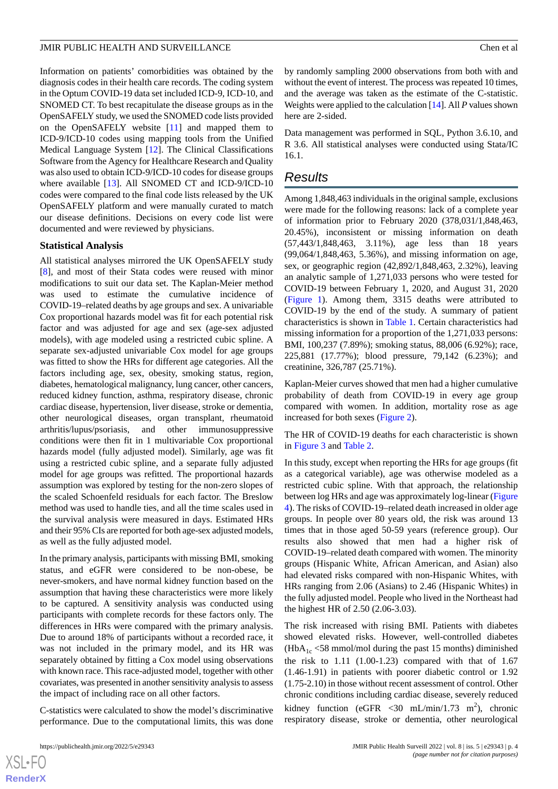Information on patients' comorbidities was obtained by the diagnosis codes in their health care records. The coding system in the Optum COVID-19 data set included ICD-9, ICD-10, and SNOMED CT. To best recapitulate the disease groups as in the OpenSAFELY study, we used the SNOMED code lists provided on the OpenSAFELY website [[11\]](#page-20-9) and mapped them to ICD-9/ICD-10 codes using mapping tools from the Unified Medical Language System [[12\]](#page-20-10). The Clinical Classifications Software from the Agency for Healthcare Research and Quality was also used to obtain ICD-9/ICD-10 codes for disease groups where available [\[13](#page-20-11)]. All SNOMED CT and ICD-9/ICD-10 codes were compared to the final code lists released by the UK OpenSAFELY platform and were manually curated to match our disease definitions. Decisions on every code list were documented and were reviewed by physicians.

### **Statistical Analysis**

All statistical analyses mirrored the UK OpenSAFELY study [[8\]](#page-20-6), and most of their Stata codes were reused with minor modifications to suit our data set. The Kaplan-Meier method was used to estimate the cumulative incidence of COVID-19–related deaths by age groups and sex. A univariable Cox proportional hazards model was fit for each potential risk factor and was adjusted for age and sex (age-sex adjusted models), with age modeled using a restricted cubic spline. A separate sex-adjusted univariable Cox model for age groups was fitted to show the HRs for different age categories. All the factors including age, sex, obesity, smoking status, region, diabetes, hematological malignancy, lung cancer, other cancers, reduced kidney function, asthma, respiratory disease, chronic cardiac disease, hypertension, liver disease, stroke or dementia, other neurological diseases, organ transplant, rheumatoid arthritis/lupus/psoriasis, and other immunosuppressive conditions were then fit in 1 multivariable Cox proportional hazards model (fully adjusted model). Similarly, age was fit using a restricted cubic spline, and a separate fully adjusted model for age groups was refitted. The proportional hazards assumption was explored by testing for the non-zero slopes of the scaled Schoenfeld residuals for each factor. The Breslow method was used to handle ties, and all the time scales used in the survival analysis were measured in days. Estimated HRs and their 95% CIs are reported for both age-sex adjusted models, as well as the fully adjusted model.

In the primary analysis, participants with missing BMI, smoking status, and eGFR were considered to be non-obese, be never-smokers, and have normal kidney function based on the assumption that having these characteristics were more likely to be captured. A sensitivity analysis was conducted using participants with complete records for these factors only. The differences in HRs were compared with the primary analysis. Due to around 18% of participants without a recorded race, it was not included in the primary model, and its HR was separately obtained by fitting a Cox model using observations with known race. This race-adjusted model, together with other covariates, was presented in another sensitivity analysis to assess the impact of including race on all other factors.

C-statistics were calculated to show the model's discriminative performance. Due to the computational limits, this was done by randomly sampling 2000 observations from both with and without the event of interest. The process was repeated 10 times, and the average was taken as the estimate of the C-statistic. Weights were applied to the calculation [[14\]](#page-20-12). All *P* values shown here are 2-sided.

Data management was performed in SQL, Python 3.6.10, and R 3.6. All statistical analyses were conducted using Stata/IC 16.1.

# *Results*

Among 1,848,463 individuals in the original sample, exclusions were made for the following reasons: lack of a complete year of information prior to February 2020 (378,031/1,848,463, 20.45%), inconsistent or missing information on death (57,443/1,848,463, 3.11%), age less than 18 years (99,064/1,848,463, 5.36%), and missing information on age, sex, or geographic region (42,892/1,848,463, 2.32%), leaving an analytic sample of 1,271,033 persons who were tested for COVID-19 between February 1, 2020, and August 31, 2020 ([Figure 1\)](#page-4-0). Among them, 3315 deaths were attributed to COVID-19 by the end of the study. A summary of patient characteristics is shown in [Table 1](#page-5-0). Certain characteristics had missing information for a proportion of the 1,271,033 persons: BMI, 100,237 (7.89%); smoking status, 88,006 (6.92%); race, 225,881 (17.77%); blood pressure, 79,142 (6.23%); and creatinine, 326,787 (25.71%).

Kaplan-Meier curves showed that men had a higher cumulative probability of death from COVID-19 in every age group compared with women. In addition, mortality rose as age increased for both sexes ([Figure 2](#page-7-0)).

The HR of COVID-19 deaths for each characteristic is shown in [Figure 3](#page-8-0) and [Table 2](#page-9-0).

In this study, except when reporting the HRs for age groups (fit as a categorical variable), age was otherwise modeled as a restricted cubic spline. With that approach, the relationship between log HRs and age was approximately log-linear ([Figure](#page-10-0) [4\)](#page-10-0). The risks of COVID-19–related death increased in older age groups. In people over 80 years old, the risk was around 13 times that in those aged 50-59 years (reference group). Our results also showed that men had a higher risk of COVID-19–related death compared with women. The minority groups (Hispanic White, African American, and Asian) also had elevated risks compared with non-Hispanic Whites, with HRs ranging from 2.06 (Asians) to 2.46 (Hispanic Whites) in the fully adjusted model. People who lived in the Northeast had the highest HR of 2.50 (2.06-3.03).

The risk increased with rising BMI. Patients with diabetes showed elevated risks. However, well-controlled diabetes  $(HbA<sub>1c</sub> < 58$  mmol/mol during the past 15 months) diminished the risk to  $1.11$   $(1.00-1.23)$  compared with that of  $1.67$ (1.46-1.91) in patients with poorer diabetic control or 1.92 (1.75-2.10) in those without recent assessment of control. Other chronic conditions including cardiac disease, severely reduced kidney function (eGFR < 30 mL/min/1.73 m<sup>2</sup>), chronic respiratory disease, stroke or dementia, other neurological

```
XSI - F(RenderX
```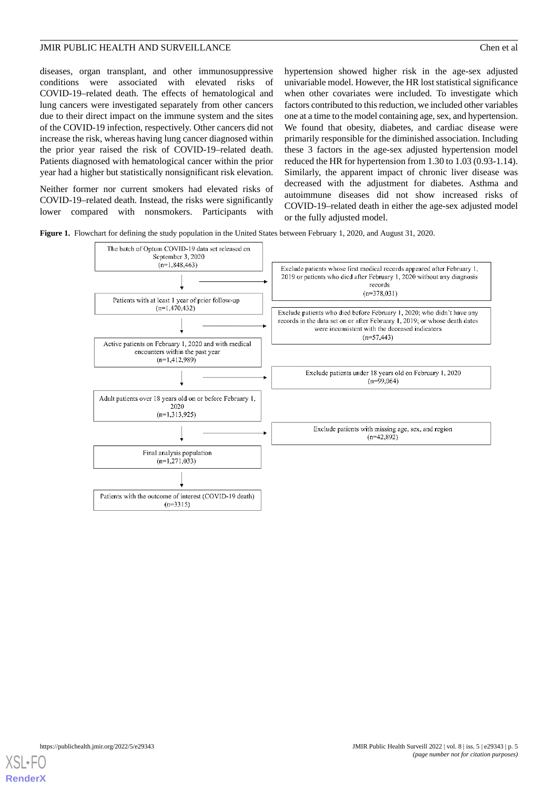diseases, organ transplant, and other immunosuppressive conditions were associated with elevated risks of COVID-19–related death. The effects of hematological and lung cancers were investigated separately from other cancers due to their direct impact on the immune system and the sites of the COVID-19 infection, respectively. Other cancers did not increase the risk, whereas having lung cancer diagnosed within the prior year raised the risk of COVID-19–related death. Patients diagnosed with hematological cancer within the prior year had a higher but statistically nonsignificant risk elevation.

<span id="page-4-0"></span>Neither former nor current smokers had elevated risks of COVID-19–related death. Instead, the risks were significantly lower compared with nonsmokers. Participants with

hypertension showed higher risk in the age-sex adjusted univariable model. However, the HR lost statistical significance when other covariates were included. To investigate which factors contributed to this reduction, we included other variables one at a time to the model containing age, sex, and hypertension. We found that obesity, diabetes, and cardiac disease were primarily responsible for the diminished association. Including these 3 factors in the age-sex adjusted hypertension model reduced the HR for hypertension from 1.30 to 1.03 (0.93-1.14). Similarly, the apparent impact of chronic liver disease was decreased with the adjustment for diabetes. Asthma and autoimmune diseases did not show increased risks of COVID-19–related death in either the age-sex adjusted model or the fully adjusted model.

**Figure 1.** Flowchart for defining the study population in the United States between February 1, 2020, and August 31, 2020.



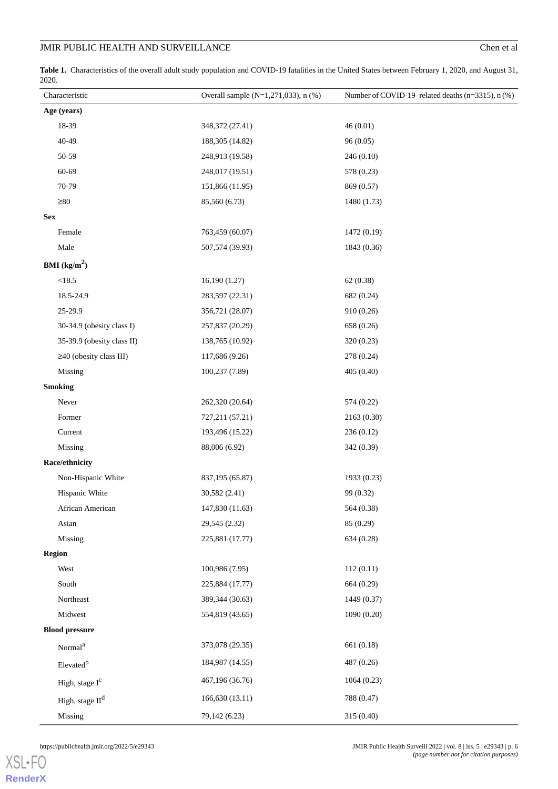<span id="page-5-0"></span>**Table 1.** Characteristics of the overall adult study population and COVID-19 fatalities in the United States between February 1, 2020, and August 31, 2020.

| Characteristic                 | Overall sample (N=1,271,033), n (%) | Number of COVID-19-related deaths (n=3315), n (%) |
|--------------------------------|-------------------------------------|---------------------------------------------------|
| Age (years)                    |                                     |                                                   |
| 18-39                          | 348,372 (27.41)                     | 46(0.01)                                          |
| 40-49                          | 188,305 (14.82)                     | 96(0.05)                                          |
| 50-59                          | 248,913 (19.58)                     | 246(0.10)                                         |
| 60-69                          | 248,017 (19.51)                     | 578 (0.23)                                        |
| 70-79                          | 151,866 (11.95)                     | 869 (0.57)                                        |
| $\geq 80$                      | 85,560 (6.73)                       | 1480 (1.73)                                       |
| <b>Sex</b>                     |                                     |                                                   |
| Female                         | 763,459 (60.07)                     | 1472 (0.19)                                       |
| Male                           | 507,574 (39.93)                     | 1843 (0.36)                                       |
| <b>BMI</b> ( $\text{kg/m}^2$ ) |                                     |                                                   |
| <18.5                          | 16,190(1.27)                        | 62 (0.38)                                         |
| 18.5-24.9                      | 283,597 (22.31)                     | 682 (0.24)                                        |
| 25-29.9                        | 356,721 (28.07)                     | 910 (0.26)                                        |
| 30-34.9 (obesity class I)      | 257,837 (20.29)                     | 658 (0.26)                                        |
| 35-39.9 (obesity class II)     | 138,765 (10.92)                     | 320 (0.23)                                        |
| $\geq$ 40 (obesity class III)  | 117,686 (9.26)                      | 278 (0.24)                                        |
| Missing                        | 100,237 (7.89)                      | 405 (0.40)                                        |
| <b>Smoking</b>                 |                                     |                                                   |
| Never                          | 262,320 (20.64)                     | 574 (0.22)                                        |
| Former                         | 727,211 (57.21)                     | 2163 (0.30)                                       |
| Current                        | 193,496 (15.22)                     | 236(0.12)                                         |
| Missing                        | 88,006 (6.92)                       | 342 (0.39)                                        |
| Race/ethnicity                 |                                     |                                                   |
| Non-Hispanic White             | 837,195 (65.87)                     | 1933 (0.23)                                       |
| Hispanic White                 | 30,582 (2.41)                       | 99 (0.32)                                         |
| African American               | 147,830 (11.63)                     | 564 (0.38)                                        |
| Asian                          | 29,545 (2.32)                       | 85 (0.29)                                         |
| Missing                        | 225,881 (17.77)                     | 634 (0.28)                                        |
| <b>Region</b>                  |                                     |                                                   |
| West                           | 100,986 (7.95)                      | 112(0.11)                                         |
| South                          | 225,884 (17.77)                     | 664 (0.29)                                        |
| Northeast                      | 389,344 (30.63)                     | 1449 (0.37)                                       |
| Midwest                        | 554,819 (43.65)                     | 1090(0.20)                                        |
| <b>Blood pressure</b>          |                                     |                                                   |
| Normal <sup>a</sup>            | 373,078 (29.35)                     | 661 (0.18)                                        |
| Elevated <sup>b</sup>          | 184,987 (14.55)                     | 487 (0.26)                                        |
| High, stage I <sup>c</sup>     | 467,196 (36.76)                     | 1064(0.23)                                        |
| High, stage II <sup>d</sup>    | 166,630 (13.11)                     | 788 (0.47)                                        |
| Missing                        | 79,142 (6.23)                       | 315 (0.40)                                        |

[XSL](http://www.w3.org/Style/XSL)•FO **[RenderX](http://www.renderx.com/)**

https://publichealth.jmir.org/2022/5/e29343 JMIR Public Health Surveill 2022 | vol. 8 | iss. 5 | e29343 | p. 6 *(page number not for citation purposes)*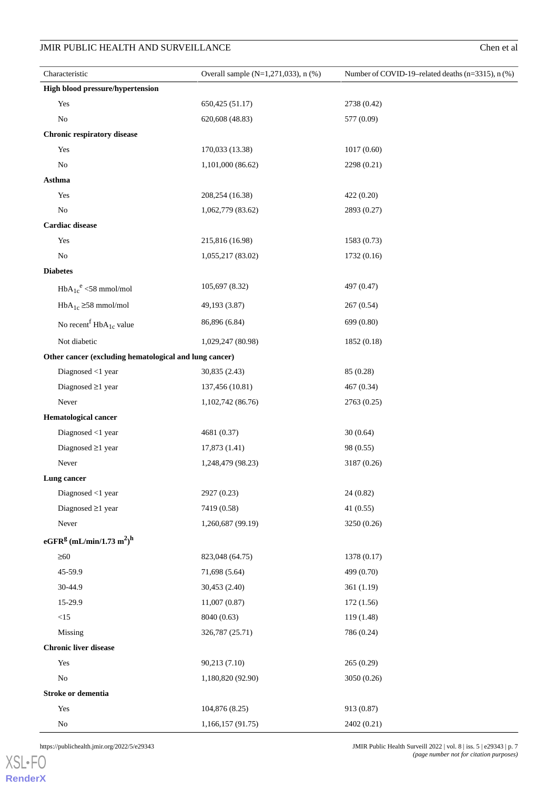| Characteristic                                               | Overall sample $(N=1, 271, 033)$ , n $(\%)$ | Number of COVID-19-related deaths $(n=3315)$ , n $(\%)$ |
|--------------------------------------------------------------|---------------------------------------------|---------------------------------------------------------|
| <b>High blood pressure/hypertension</b>                      |                                             |                                                         |
| Yes                                                          | 650,425 (51.17)                             | 2738 (0.42)                                             |
| $\rm No$                                                     | 620,608 (48.83)                             | 577 (0.09)                                              |
| <b>Chronic respiratory disease</b>                           |                                             |                                                         |
| Yes                                                          | 170,033 (13.38)                             | 1017(0.60)                                              |
| No                                                           | 1,101,000 (86.62)                           | 2298 (0.21)                                             |
| Asthma                                                       |                                             |                                                         |
| Yes                                                          | 208,254 (16.38)                             | 422 (0.20)                                              |
| No                                                           | 1,062,779 (83.62)                           | 2893 (0.27)                                             |
| <b>Cardiac</b> disease                                       |                                             |                                                         |
| Yes                                                          | 215,816 (16.98)                             | 1583 (0.73)                                             |
| $\rm No$                                                     | 1,055,217 (83.02)                           | 1732(0.16)                                              |
| <b>Diabetes</b>                                              |                                             |                                                         |
| $HbA_{1c}^e \leq 58$ mmol/mol                                | 105,697 (8.32)                              | 497 (0.47)                                              |
| $HbA_{1c} \geq 58$ mmol/mol                                  | 49,193 (3.87)                               | 267 (0.54)                                              |
| No recent $HbA_{1c}$ value                                   | 86,896 (6.84)                               | 699 (0.80)                                              |
| Not diabetic                                                 | 1,029,247 (80.98)                           | 1852 (0.18)                                             |
| Other cancer (excluding hematological and lung cancer)       |                                             |                                                         |
| Diagnosed <1 year                                            | 30,835 (2.43)                               | 85 (0.28)                                               |
| Diagnosed $\geq$ 1 year                                      | 137,456 (10.81)                             | 467 (0.34)                                              |
| Never                                                        | 1,102,742 (86.76)                           | 2763 (0.25)                                             |
| <b>Hematological cancer</b>                                  |                                             |                                                         |
| Diagnosed <1 year                                            | 4681 (0.37)                                 | 30(0.64)                                                |
| Diagnosed $\geq$ 1 year                                      | 17,873 (1.41)                               | 98 (0.55)                                               |
| Never                                                        | 1,248,479 (98.23)                           | 3187 (0.26)                                             |
| Lung cancer                                                  |                                             |                                                         |
| Diagnosed <1 year                                            | 2927 (0.23)                                 | 24 (0.82)                                               |
| Diagnosed $\geq$ 1 year                                      | 7419 (0.58)                                 | 41(0.55)                                                |
| Never                                                        | 1,260,687 (99.19)                           | 3250 (0.26)                                             |
| eGFR <sup>g</sup> (mL/min/1.73 m <sup>2</sup> ) <sup>h</sup> |                                             |                                                         |
| $\geq 60$                                                    | 823,048 (64.75)                             | 1378 (0.17)                                             |
| 45-59.9                                                      | 71,698 (5.64)                               | 499 (0.70)                                              |
| 30-44.9                                                      | 30,453 (2.40)                               | 361 (1.19)                                              |
| 15-29.9                                                      | 11,007(0.87)                                | 172 (1.56)                                              |
| <15                                                          | 8040 (0.63)                                 | 119 (1.48)                                              |
| Missing                                                      | 326,787 (25.71)                             | 786 (0.24)                                              |
| <b>Chronic liver disease</b>                                 |                                             |                                                         |
| Yes                                                          | 90,213 (7.10)                               | 265 (0.29)                                              |
| $\rm No$                                                     | 1,180,820 (92.90)                           | 3050 (0.26)                                             |
| Stroke or dementia                                           |                                             |                                                         |
| Yes                                                          | 104,876 (8.25)                              | 913 (0.87)                                              |
| $\rm No$                                                     | 1,166,157 (91.75)                           | 2402 (0.21)                                             |

[XSL](http://www.w3.org/Style/XSL)•FO **[RenderX](http://www.renderx.com/)**

https://publichealth.jmir.org/2022/5/e29343 JMIR Public Health Surveill 2022 | vol. 8 | iss. 5 | e29343 | p. 7 *(page number not for citation purposes)*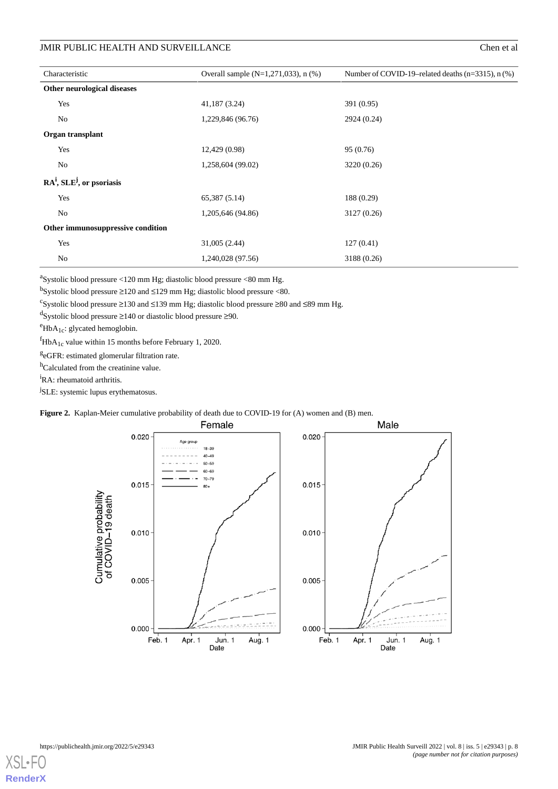| Characteristic                    | Overall sample $(N=1, 271, 033)$ , n $(\%)$ | Number of COVID-19-related deaths $(n=3315)$ , n $(\%)$ |
|-----------------------------------|---------------------------------------------|---------------------------------------------------------|
| Other neurological diseases       |                                             |                                                         |
| Yes                               | 41,187 (3.24)                               | 391 (0.95)                                              |
| No                                | 1,229,846 (96.76)                           | 2924 (0.24)                                             |
| Organ transplant                  |                                             |                                                         |
| Yes                               | 12,429 (0.98)                               | 95 (0.76)                                               |
| No                                | 1,258,604 (99.02)                           | 3220 (0.26)                                             |
| $RA^i$ , $SLE^j$ , or psoriasis   |                                             |                                                         |
| Yes                               | 65,387 (5.14)                               | 188 (0.29)                                              |
| No                                | 1,205,646 (94.86)                           | 3127 (0.26)                                             |
| Other immunosuppressive condition |                                             |                                                         |
| Yes                               | 31,005 (2.44)                               | 127(0.41)                                               |
| No                                | 1,240,028 (97.56)                           | 3188 (0.26)                                             |

<sup>a</sup>Systolic blood pressure <120 mm Hg; diastolic blood pressure <80 mm Hg.

b<sub>Systolic</sub> blood pressure  $\geq$ 120 and  $\leq$ 129 mm Hg; diastolic blood pressure <80.

<sup>c</sup>Systolic blood pressure ≥130 and ≤139 mm Hg; diastolic blood pressure ≥80 and ≤89 mm Hg.

d Systolic blood pressure ≥140 or diastolic blood pressure ≥90.

 $e^e$ HbA<sub>1c</sub>: glycated hemoglobin.

 ${}^f$ HbA<sub>1c</sub> value within 15 months before February 1, 2020.

<sup>g</sup>eGFR: estimated glomerular filtration rate.

<span id="page-7-0"></span><sup>h</sup>Calculated from the creatinine value.

<sup>i</sup>RA: rheumatoid arthritis.

<sup>j</sup>SLE: systemic lupus erythematosus.

#### **Figure 2.** Kaplan-Meier cumulative probability of death due to COVID-19 for (A) women and (B) men.



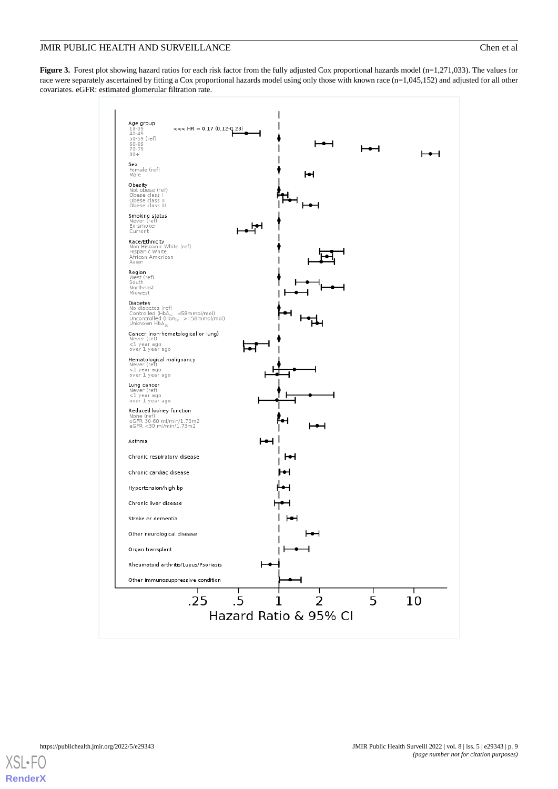<span id="page-8-0"></span>**Figure 3.** Forest plot showing hazard ratios for each risk factor from the fully adjusted Cox proportional hazards model (n=1,271,033). The values for race were separately ascertained by fitting a Cox proportional hazards model using only those with known race (n=1,045,152) and adjusted for all other covariates. eGFR: estimated glomerular filtration rate.



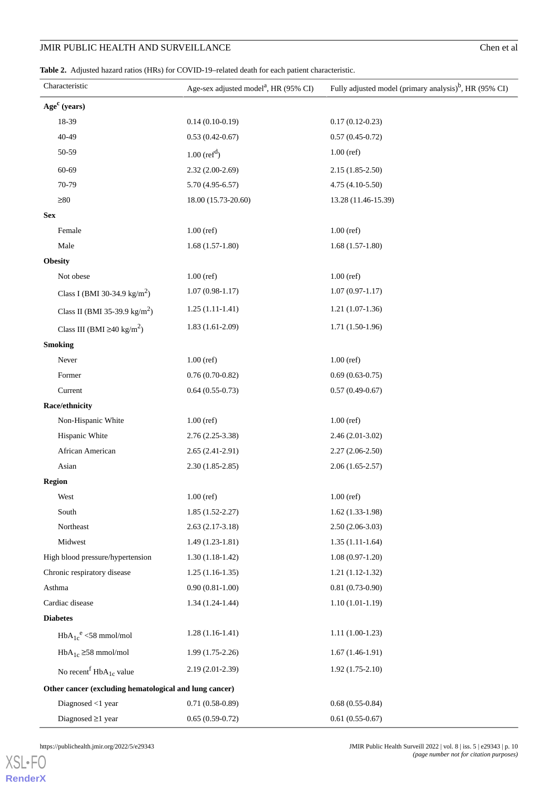<span id="page-9-0"></span>

| <b>Table 2.</b> Adjusted hazard ratios (HRs) for COVID-19–related death for each patient characteristic. |
|----------------------------------------------------------------------------------------------------------|
|                                                                                                          |
|                                                                                                          |

| Characteristic                                         | Age-sex adjusted model <sup>a</sup> , HR (95% CI) | Fully adjusted model (primary analysis) <sup>b</sup> , HR (95% CI) |
|--------------------------------------------------------|---------------------------------------------------|--------------------------------------------------------------------|
| Age <sup>c</sup> (years)                               |                                                   |                                                                    |
| 18-39                                                  | $0.14(0.10-0.19)$                                 | $0.17(0.12 - 0.23)$                                                |
| 40-49                                                  | $0.53(0.42-0.67)$                                 | $0.57(0.45-0.72)$                                                  |
| 50-59                                                  | $1.00$ (ref <sup>d</sup> )                        | $1.00$ (ref)                                                       |
| 60-69                                                  | $2.32(2.00-2.69)$                                 | $2.15(1.85-2.50)$                                                  |
| 70-79                                                  | $5.70(4.95-6.57)$                                 | 4.75 (4.10-5.50)                                                   |
| $\geq 80$                                              | 18.00 (15.73-20.60)                               | 13.28 (11.46-15.39)                                                |
| <b>Sex</b>                                             |                                                   |                                                                    |
| Female                                                 | $1.00$ (ref)                                      | $1.00$ (ref)                                                       |
| Male                                                   | $1.68(1.57-1.80)$                                 | $1.68(1.57-1.80)$                                                  |
| <b>Obesity</b>                                         |                                                   |                                                                    |
| Not obese                                              | $1.00$ (ref)                                      | $1.00$ (ref)                                                       |
| Class I (BMI 30-34.9 kg/m <sup>2</sup> )               | $1.07(0.98-1.17)$                                 | $1.07(0.97-1.17)$                                                  |
| Class II (BMI 35-39.9 kg/m <sup>2</sup> )              | $1.25(1.11-1.41)$                                 | $1.21(1.07-1.36)$                                                  |
| Class III (BMI $\geq 40 \text{ kg/m}^2$ )              | $1.83(1.61-2.09)$                                 | $1.71(1.50-1.96)$                                                  |
| <b>Smoking</b>                                         |                                                   |                                                                    |
| Never                                                  | $1.00$ (ref)                                      | $1.00$ (ref)                                                       |
| Former                                                 | $0.76(0.70-0.82)$                                 | $0.69(0.63-0.75)$                                                  |
| Current                                                | $0.64(0.55-0.73)$                                 | $0.57(0.49-0.67)$                                                  |
| Race/ethnicity                                         |                                                   |                                                                    |
| Non-Hispanic White                                     | $1.00$ (ref)                                      | $1.00$ (ref)                                                       |
| Hispanic White                                         | $2.76(2.25-3.38)$                                 | $2.46(2.01-3.02)$                                                  |
| African American                                       | $2.65(2.41-2.91)$                                 | $2.27(2.06-2.50)$                                                  |
| Asian                                                  | $2.30(1.85-2.85)$                                 | $2.06(1.65-2.57)$                                                  |
| <b>Region</b>                                          |                                                   |                                                                    |
| West                                                   | $1.00$ (ref)                                      | $1.00$ (ref)                                                       |
| South                                                  | $1.85(1.52-2.27)$                                 | $1.62(1.33-1.98)$                                                  |
| Northeast                                              | $2.63(2.17-3.18)$                                 | $2.50(2.06-3.03)$                                                  |
| Midwest                                                | $1.49(1.23-1.81)$                                 | $1.35(1.11-1.64)$                                                  |
| High blood pressure/hypertension                       | $1.30(1.18-1.42)$                                 | $1.08(0.97-1.20)$                                                  |
| Chronic respiratory disease                            | $1.25(1.16-1.35)$                                 | $1.21(1.12-1.32)$                                                  |
| Asthma                                                 | $0.90(0.81-1.00)$                                 | $0.81(0.73-0.90)$                                                  |
| Cardiac disease                                        | $1.34(1.24-1.44)$                                 | $1.10(1.01-1.19)$                                                  |
| <b>Diabetes</b>                                        |                                                   |                                                                    |
| $HbA_{1c}^e \leq 58$ mmol/mol                          | $1.28(1.16-1.41)$                                 | $1.11(1.00-1.23)$                                                  |
| $HbA_{1c} \geq 58$ mmol/mol                            | $1.99(1.75-2.26)$                                 | $1.67(1.46-1.91)$                                                  |
| No recent $HbA_{1c}$ value                             | 2.19 (2.01-2.39)                                  | $1.92(1.75-2.10)$                                                  |
| Other cancer (excluding hematological and lung cancer) |                                                   |                                                                    |
| Diagnosed $<$ 1 year                                   | $0.71(0.58-0.89)$                                 | $0.68(0.55-0.84)$                                                  |
| Diagnosed $\geq$ 1 year                                | $0.65(0.59-0.72)$                                 | $0.61(0.55-0.67)$                                                  |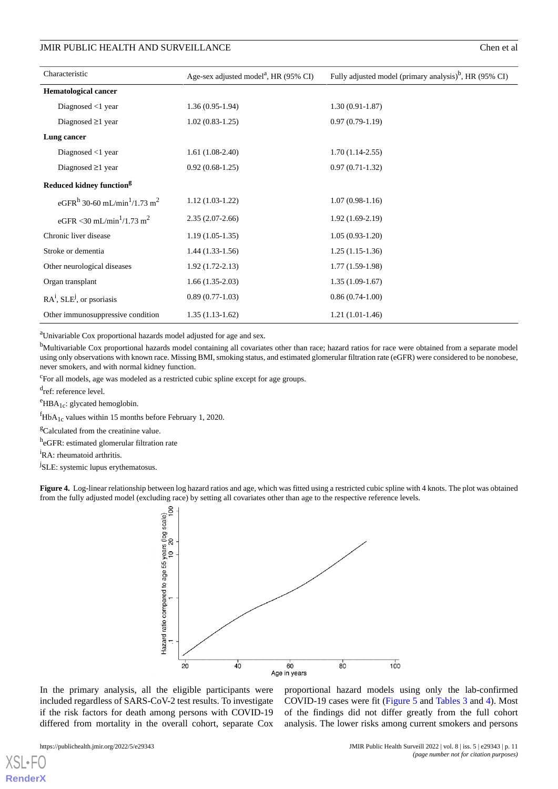| Characteristic                                                   | Age-sex adjusted model <sup>a</sup> , HR (95% CI) | Fully adjusted model (primary analysis) <sup>b</sup> , HR (95% CI) |
|------------------------------------------------------------------|---------------------------------------------------|--------------------------------------------------------------------|
| <b>Hematological cancer</b>                                      |                                                   |                                                                    |
| Diagnosed $<$ 1 year                                             | $1.36(0.95-1.94)$                                 | $1.30(0.91 - 1.87)$                                                |
| Diagnosed $\geq 1$ year                                          | $1.02(0.83-1.25)$                                 | $0.97(0.79-1.19)$                                                  |
| Lung cancer                                                      |                                                   |                                                                    |
| Diagnosed $<$ 1 year                                             | $1.61(1.08-2.40)$                                 | $1.70(1.14-2.55)$                                                  |
| Diagnosed $\geq 1$ year                                          | $0.92(0.68-1.25)$                                 | $0.97(0.71-1.32)$                                                  |
| Reduced kidney function <sup>g</sup>                             |                                                   |                                                                    |
| eGFR <sup>h</sup> 30-60 mL/min <sup>1</sup> /1.73 m <sup>2</sup> | $1.12(1.03-1.22)$                                 | $1.07(0.98-1.16)$                                                  |
| eGFR <30 mL/min <sup>1</sup> /1.73 m <sup>2</sup>                | $2.35(2.07-2.66)$                                 | $1.92(1.69-2.19)$                                                  |
| Chronic liver disease                                            | $1.19(1.05-1.35)$                                 | $1.05(0.93-1.20)$                                                  |
| Stroke or dementia                                               | $1.44(1.33-1.56)$                                 | $1.25(1.15-1.36)$                                                  |
| Other neurological diseases                                      | $1.92(1.72-2.13)$                                 | $1.77(1.59-1.98)$                                                  |
| Organ transplant                                                 | $1.66(1.35-2.03)$                                 | $1.35(1.09-1.67)$                                                  |
| $RAi$ , SLE <sup>j</sup> , or psoriasis                          | $0.89(0.77-1.03)$                                 | $0.86(0.74-1.00)$                                                  |
| Other immunosuppressive condition                                | $1.35(1.13-1.62)$                                 | $1.21(1.01-1.46)$                                                  |

<sup>a</sup>Univariable Cox proportional hazards model adjusted for age and sex.

<sup>b</sup>Multivariable Cox proportional hazards model containing all covariates other than race; hazard ratios for race were obtained from a separate model using only observations with known race. Missing BMI, smoking status, and estimated glomerular filtration rate (eGFR) were considered to be nonobese, never smokers, and with normal kidney function.

<sup>c</sup>For all models, age was modeled as a restricted cubic spline except for age groups.

d<sub>ref: reference level.</sub>

 $e$ HBA<sub>1c</sub>: glycated hemoglobin.

 ${}^f$ HbA<sub>1c</sub> values within 15 months before February 1, 2020.

<sup>g</sup>Calculated from the creatinine value.

<span id="page-10-0"></span>h<sub>e</sub>GFR: estimated glomerular filtration rate

<sup>i</sup>RA: rheumatoid arthritis.

<sup>j</sup>SLE: systemic lupus erythematosus.

**Figure 4.** Log-linear relationship between log hazard ratios and age, which was fitted using a restricted cubic spline with 4 knots. The plot was obtained from the fully adjusted model (excluding race) by setting all covariates other than age to the respective reference levels.



In the primary analysis, all the eligible participants were included regardless of SARS-CoV-2 test results. To investigate if the risk factors for death among persons with COVID-19 differed from mortality in the overall cohort, separate Cox

[XSL](http://www.w3.org/Style/XSL)•FC **[RenderX](http://www.renderx.com/)** proportional hazard models using only the lab-confirmed COVID-19 cases were fit ([Figure 5](#page-11-0) and [Tables 3](#page-12-0) and [4\)](#page-15-0). Most of the findings did not differ greatly from the full cohort analysis. The lower risks among current smokers and persons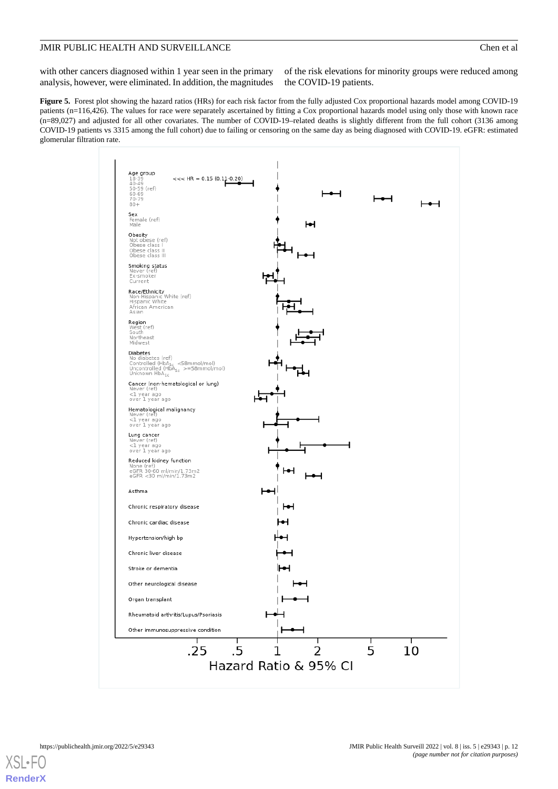with other cancers diagnosed within 1 year seen in the primary analysis, however, were eliminated. In addition, the magnitudes

of the risk elevations for minority groups were reduced among the COVID-19 patients.

<span id="page-11-0"></span>**Figure 5.** Forest plot showing the hazard ratios (HRs) for each risk factor from the fully adjusted Cox proportional hazards model among COVID-19 patients (n=116,426). The values for race were separately ascertained by fitting a Cox proportional hazards model using only those with known race (n=89,027) and adjusted for all other covariates. The number of COVID-19–related deaths is slightly different from the full cohort (3136 among COVID-19 patients vs 3315 among the full cohort) due to failing or censoring on the same day as being diagnosed with COVID-19. eGFR: estimated glomerular filtration rate.

| Age group<br>$18 - 39$<br>$<<$ HR = 0.15 (0.11-0.20)<br>$40 - 49$<br>50-59 (ref)<br>60-69<br>70-79                                                        |                       |   |   |    |
|-----------------------------------------------------------------------------------------------------------------------------------------------------------|-----------------------|---|---|----|
| $80 +$<br>Sex<br>Female (ref)                                                                                                                             |                       |   |   |    |
| Male<br>Obesity<br>Not obese (ref)<br>Obese class I<br>Obese class II<br>Obese class III                                                                  | н                     |   |   |    |
| Smoking status<br>Never (ref)<br>Ex-smoker<br>Current                                                                                                     |                       |   |   |    |
| Race/Ethnicity<br>Non-Hispanic White (ref)<br>Hispanic White<br>African American<br>Asian                                                                 |                       |   |   |    |
| Region<br>West (ref)<br>South<br>Northeast<br>Midwest                                                                                                     |                       |   |   |    |
| Diabetes<br>No diabetes (ref)<br>Controlled (HbA <sub>1c</sub> <58mmol/mol)<br>Uncontrolled (HbA <sub>1c</sub> >=58mmol/mol)<br>Unknown HbA <sub>1c</sub> |                       |   |   |    |
| Cancer (non-hematological or lung)<br>Never (ref)<br><1 year ago<br>over 1 year ago                                                                       |                       |   |   |    |
| Hematological malignancy<br>Never (ref)<br><1 year ago<br>over 1 year ago                                                                                 |                       |   |   |    |
| Lung cancer<br>Never (ref)<br><1 year ago<br>over 1 year ago                                                                                              |                       |   |   |    |
| Reduced kidney function<br>None (ref)<br>eGFR 30-60 ml/min/1.73m2<br>eGFR <30 ml/min/1.73m2                                                               |                       |   |   |    |
| Asthma                                                                                                                                                    |                       |   |   |    |
| Chronic respiratory disease                                                                                                                               |                       |   |   |    |
| Chronic cardiac disease                                                                                                                                   |                       |   |   |    |
| Hypertension/high bp                                                                                                                                      |                       |   |   |    |
| Chronic liver disease                                                                                                                                     |                       |   |   |    |
| Stroke or dementia                                                                                                                                        |                       |   |   |    |
| Other neurological disease                                                                                                                                |                       |   |   |    |
| Organ transplant                                                                                                                                          |                       |   |   |    |
| Rheumatoid arthritis/Lupus/Psoriasis                                                                                                                      |                       |   |   |    |
| Other immunosuppressive condition                                                                                                                         |                       |   |   |    |
| .5<br>.25                                                                                                                                                 |                       | 2 | 5 | 10 |
|                                                                                                                                                           | Hazard Ratio & 95% CI |   |   |    |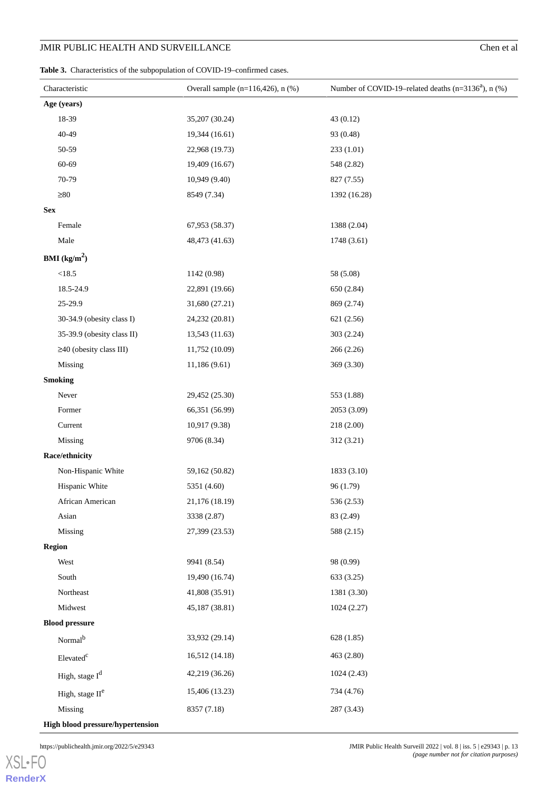#### <span id="page-12-0"></span>Table 3. Characteristics of the subpopulation of COVID-19-confirmed cases.

| Characteristic                   | Overall sample $(n=116, 426)$ , n $(\%)$ | Number of COVID-19-related deaths (n=3136 <sup>a</sup> ), n (%) |
|----------------------------------|------------------------------------------|-----------------------------------------------------------------|
| Age (years)                      |                                          |                                                                 |
| 18-39                            | 35,207 (30.24)                           | 43 (0.12)                                                       |
| 40-49                            | 19,344 (16.61)                           | 93 (0.48)                                                       |
| 50-59                            | 22,968 (19.73)                           | 233(1.01)                                                       |
| 60-69                            | 19,409 (16.67)                           | 548 (2.82)                                                      |
| 70-79                            | 10,949 (9.40)                            | 827 (7.55)                                                      |
| $\geq 80$                        | 8549 (7.34)                              | 1392 (16.28)                                                    |
| <b>Sex</b>                       |                                          |                                                                 |
| Female                           | 67,953 (58.37)                           | 1388 (2.04)                                                     |
| Male                             | 48,473 (41.63)                           | 1748 (3.61)                                                     |
| <b>BMI</b> ( $\text{kg/m}^2$ )   |                                          |                                                                 |
| $<18.5\,$                        | 1142 (0.98)                              | 58 (5.08)                                                       |
| 18.5-24.9                        | 22,891 (19.66)                           | 650 (2.84)                                                      |
| 25-29.9                          | 31,680 (27.21)                           | 869 (2.74)                                                      |
| 30-34.9 (obesity class I)        | 24,232 (20.81)                           | 621 (2.56)                                                      |
| 35-39.9 (obesity class II)       | 13,543 (11.63)                           | 303 (2.24)                                                      |
| $\geq$ 40 (obesity class III)    | 11,752 (10.09)                           | 266 (2.26)                                                      |
| Missing                          | 11,186 (9.61)                            | 369 (3.30)                                                      |
| <b>Smoking</b>                   |                                          |                                                                 |
| Never                            | 29,452 (25.30)                           | 553 (1.88)                                                      |
| Former                           | 66,351 (56.99)                           | 2053 (3.09)                                                     |
| Current                          | 10,917 (9.38)                            | 218 (2.00)                                                      |
| Missing                          | 9706 (8.34)                              | 312 (3.21)                                                      |
| Race/ethnicity                   |                                          |                                                                 |
| Non-Hispanic White               | 59,162 (50.82)                           | 1833 (3.10)                                                     |
| Hispanic White                   | 5351 (4.60)                              | 96 (1.79)                                                       |
| African American                 | 21,176 (18.19)                           | 536 (2.53)                                                      |
| Asian                            | 3338 (2.87)                              | 83 (2.49)                                                       |
| Missing                          | 27,399 (23.53)                           | 588 (2.15)                                                      |
| <b>Region</b>                    |                                          |                                                                 |
| West                             | 9941 (8.54)                              | 98 (0.99)                                                       |
| South                            | 19,490 (16.74)                           | 633 (3.25)                                                      |
| Northeast                        | 41,808 (35.91)                           | 1381 (3.30)                                                     |
| Midwest                          | 45,187 (38.81)                           | 1024 (2.27)                                                     |
| <b>Blood pressure</b>            |                                          |                                                                 |
| Normal <sup>b</sup>              | 33,932 (29.14)                           | 628 (1.85)                                                      |
| Elevated <sup>c</sup>            | 16,512 (14.18)                           | 463 (2.80)                                                      |
| High, stage I <sup>d</sup>       | 42,219 (36.26)                           | 1024(2.43)                                                      |
| High, stage II <sup>e</sup>      | 15,406 (13.23)                           | 734 (4.76)                                                      |
| Missing                          | 8357 (7.18)                              | 287 (3.43)                                                      |
| High blood pressure/hypertension |                                          |                                                                 |

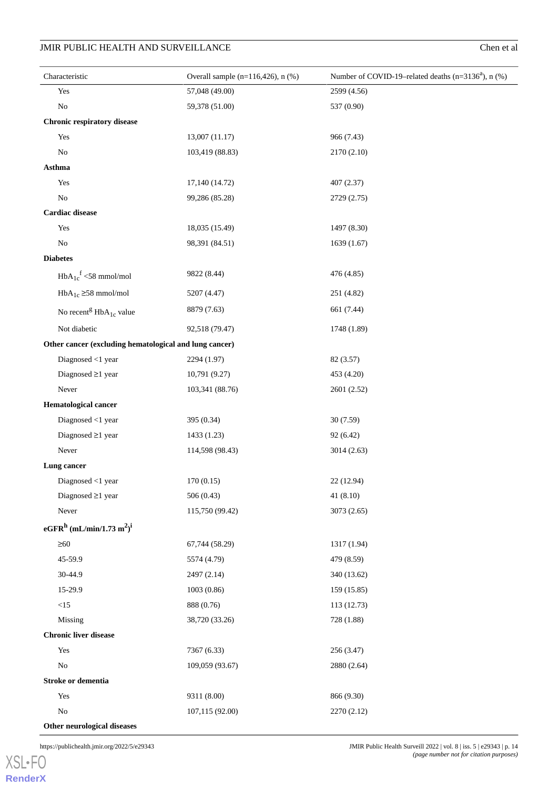| Characteristic                                               | Overall sample $(n=116, 426)$ , n $(\%)$ | Number of COVID-19-related deaths (n=3136 <sup>a</sup> ), n (%) |
|--------------------------------------------------------------|------------------------------------------|-----------------------------------------------------------------|
| Yes                                                          | 57,048 (49.00)                           | 2599 (4.56)                                                     |
| $\rm No$                                                     | 59,378 (51.00)                           | 537 (0.90)                                                      |
| Chronic respiratory disease                                  |                                          |                                                                 |
| Yes                                                          | 13,007 (11.17)                           | 966 (7.43)                                                      |
| $\rm No$                                                     | 103,419 (88.83)                          | 2170 (2.10)                                                     |
| Asthma                                                       |                                          |                                                                 |
| Yes                                                          | 17,140 (14.72)                           | 407 (2.37)                                                      |
| $\rm No$                                                     | 99,286 (85.28)                           | 2729 (2.75)                                                     |
| <b>Cardiac</b> disease                                       |                                          |                                                                 |
| Yes                                                          | 18,035 (15.49)                           | 1497 (8.30)                                                     |
| $\rm No$                                                     | 98,391 (84.51)                           | 1639(1.67)                                                      |
| <b>Diabetes</b>                                              |                                          |                                                                 |
| $HbA_{1c}^f$ <58 mmol/mol                                    | 9822 (8.44)                              | 476 (4.85)                                                      |
| $HbA_{1c} \geq 58$ mmol/mol                                  | 5207 (4.47)                              | 251 (4.82)                                                      |
| No recent <sup>g</sup> $HbA_{1c}$ value                      | 8879 (7.63)                              | 661 (7.44)                                                      |
| Not diabetic                                                 | 92,518 (79.47)                           | 1748 (1.89)                                                     |
| Other cancer (excluding hematological and lung cancer)       |                                          |                                                                 |
| Diagnosed $<$ 1 year                                         | 2294 (1.97)                              | 82 (3.57)                                                       |
| Diagnosed $\geq$ 1 year                                      | 10,791 (9.27)                            | 453 (4.20)                                                      |
| Never                                                        | 103,341 (88.76)                          | 2601 (2.52)                                                     |
| <b>Hematological cancer</b>                                  |                                          |                                                                 |
| Diagnosed $<$ 1 year                                         | 395 (0.34)                               | 30 (7.59)                                                       |
| Diagnosed $\geq$ 1 year                                      | 1433 (1.23)                              | 92 (6.42)                                                       |
| ${\hbox{Never}}$                                             | 114,598 (98.43)                          | 3014(2.63)                                                      |
| Lung cancer                                                  |                                          |                                                                 |
| Diagnosed <1 year                                            | 170(0.15)                                | 22 (12.94)                                                      |
| Diagnosed $\geq$ 1 year                                      | 506(0.43)                                | 41(8.10)                                                        |
| Never                                                        | 115,750 (99.42)                          | 3073 (2.65)                                                     |
| eGFR <sup>h</sup> (mL/min/1.73 m <sup>2</sup> ) <sup>i</sup> |                                          |                                                                 |
| $\geq 60$                                                    | 67,744 (58.29)                           | 1317 (1.94)                                                     |
| 45-59.9                                                      | 5574 (4.79)                              | 479 (8.59)                                                      |
| 30-44.9                                                      | 2497 (2.14)                              | 340 (13.62)                                                     |
| 15-29.9                                                      | 1003(0.86)                               | 159(15.85)                                                      |
| $<15$                                                        | 888 (0.76)                               | 113 (12.73)                                                     |
| Missing                                                      | 38,720 (33.26)                           | 728 (1.88)                                                      |
| <b>Chronic liver disease</b>                                 |                                          |                                                                 |
| Yes                                                          | 7367 (6.33)                              | 256 (3.47)                                                      |
| $\rm No$                                                     | 109,059 (93.67)                          | 2880 (2.64)                                                     |
| Stroke or dementia                                           |                                          |                                                                 |
| Yes                                                          | 9311 (8.00)                              | 866 (9.30)                                                      |
| $\rm No$                                                     | 107,115 (92.00)                          | 2270 (2.12)                                                     |

**Other neurological diseases**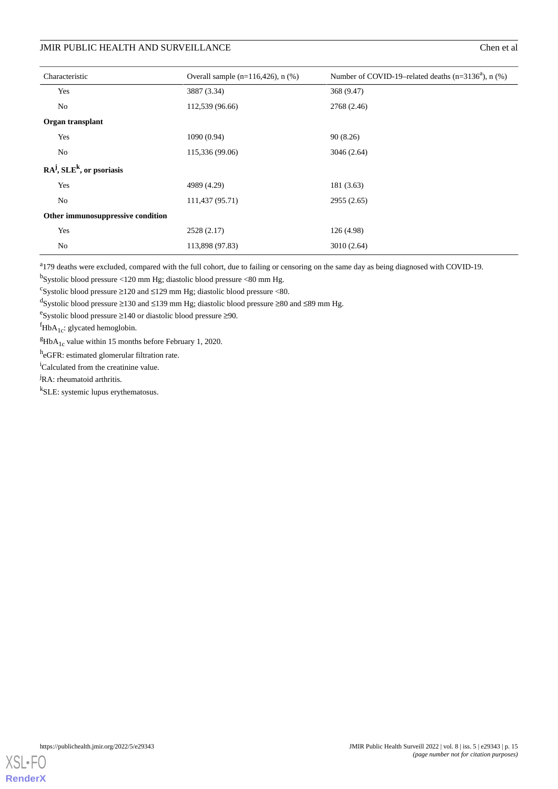| Characteristic                      | Overall sample $(n=116,426)$ , n $(\%)$ | Number of COVID-19-related deaths ( $n=3136^a$ ), $n$ (%) |
|-------------------------------------|-----------------------------------------|-----------------------------------------------------------|
| Yes                                 | 3887 (3.34)                             | 368 (9.47)                                                |
| No                                  | 112,539 (96.66)                         | 2768 (2.46)                                               |
| Organ transplant                    |                                         |                                                           |
| Yes                                 | 1090(0.94)                              | 90(8.26)                                                  |
| No                                  | 115,336 (99.06)                         | 3046(2.64)                                                |
| $RA^{j}$ , $SLE^{k}$ , or psoriasis |                                         |                                                           |
| Yes                                 | 4989 (4.29)                             | 181 (3.63)                                                |
| No                                  | 111,437 (95.71)                         | 2955(2.65)                                                |
| Other immunosuppressive condition   |                                         |                                                           |
| Yes                                 | 2528 (2.17)                             | 126 (4.98)                                                |
| No                                  | 113,898 (97.83)                         | 3010(2.64)                                                |

<sup>a</sup>179 deaths were excluded, compared with the full cohort, due to failing or censoring on the same day as being diagnosed with COVID-19.

<sup>b</sup>Systolic blood pressure <120 mm Hg; diastolic blood pressure <80 mm Hg.

 $\text{c}_{\text{System}}$  Systolic blood pressure  $\geq$ 120 and  $\leq$ 129 mm Hg; diastolic blood pressure <80.

<sup>d</sup>Systolic blood pressure ≥130 and ≤139 mm Hg; diastolic blood pressure ≥80 and ≤89 mm Hg.

e Systolic blood pressure ≥140 or diastolic blood pressure ≥90.

 ${}^f$ HbA<sub>1c</sub>: glycated hemoglobin.

 ${}^{g}$ HbA<sub>1c</sub> value within 15 months before February 1, 2020.

h<sub>eGFR</sub>: estimated glomerular filtration rate.

<sup>i</sup>Calculated from the creatinine value.

<sup>j</sup>RA: rheumatoid arthritis.

k SLE: systemic lupus erythematosus.

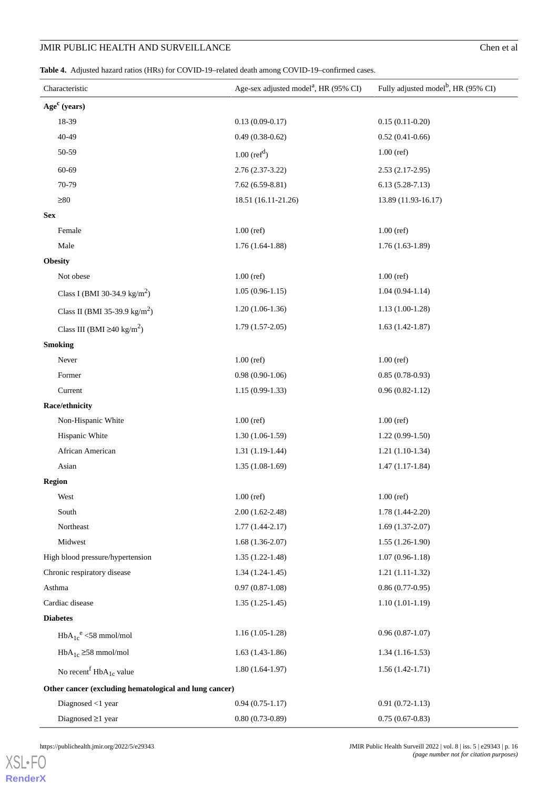<span id="page-15-0"></span>**Table 4.** Adjusted hazard ratios (HRs) for COVID-19–related death among COVID-19–confirmed cases.

| Characteristic                                         | Age-sex adjusted model <sup>a</sup> , HR (95% CI) | Fully adjusted model <sup>b</sup> , HR (95% CI) |
|--------------------------------------------------------|---------------------------------------------------|-------------------------------------------------|
| Age <sup>c</sup> (years)                               |                                                   |                                                 |
| 18-39                                                  | $0.13(0.09-0.17)$                                 | $0.15(0.11-0.20)$                               |
| 40-49                                                  | $0.49(0.38-0.62)$                                 | $0.52(0.41-0.66)$                               |
| 50-59                                                  | $1.00$ (ref <sup>d</sup> )                        | $1.00$ (ref)                                    |
| 60-69                                                  | $2.76(2.37-3.22)$                                 | $2.53(2.17-2.95)$                               |
| 70-79                                                  | $7.62(6.59-8.81)$                                 | $6.13(5.28-7.13)$                               |
| $\geq 80$                                              | 18.51 (16.11-21.26)                               | 13.89 (11.93-16.17)                             |
| <b>Sex</b>                                             |                                                   |                                                 |
| Female                                                 | $1.00$ (ref)                                      | $1.00$ (ref)                                    |
| Male                                                   | $1.76(1.64-1.88)$                                 | $1.76(1.63-1.89)$                               |
| <b>Obesity</b>                                         |                                                   |                                                 |
| Not obese                                              | $1.00$ (ref)                                      | $1.00$ (ref)                                    |
| Class I (BMI 30-34.9 kg/m <sup>2</sup> )               | $1.05(0.96-1.15)$                                 | $1.04(0.94-1.14)$                               |
| Class II (BMI 35-39.9 kg/m <sup>2</sup> )              | $1.20(1.06-1.36)$                                 | $1.13(1.00-1.28)$                               |
| Class III (BMI $\geq 40 \text{ kg/m}^2$ )              | $1.79(1.57-2.05)$                                 | $1.63(1.42-1.87)$                               |
| <b>Smoking</b>                                         |                                                   |                                                 |
| Never                                                  | $1.00$ (ref)                                      | $1.00$ (ref)                                    |
| Former                                                 | $0.98(0.90-1.06)$                                 | $0.85(0.78-0.93)$                               |
| Current                                                | $1.15(0.99-1.33)$                                 | $0.96(0.82 - 1.12)$                             |
| Race/ethnicity                                         |                                                   |                                                 |
| Non-Hispanic White                                     | $1.00$ (ref)                                      | $1.00$ (ref)                                    |
| Hispanic White                                         | $1.30(1.06-1.59)$                                 | $1.22(0.99-1.50)$                               |
| African American                                       | $1.31(1.19-1.44)$                                 | $1.21(1.10-1.34)$                               |
| Asian                                                  | $1.35(1.08-1.69)$                                 | $1.47(1.17-1.84)$                               |
| <b>Region</b>                                          |                                                   |                                                 |
| West                                                   | $1.00$ (ref)                                      | $1.00$ (ref)                                    |
| South                                                  | $2.00(1.62 - 2.48)$                               | $1.78(1.44-2.20)$                               |
| Northeast                                              | $1.77(1.44 - 2.17)$                               | $1.69(1.37-2.07)$                               |
| Midwest                                                | $1.68(1.36-2.07)$                                 | $1.55(1.26-1.90)$                               |
| High blood pressure/hypertension                       | $1.35(1.22-1.48)$                                 | $1.07(0.96-1.18)$                               |
| Chronic respiratory disease                            | $1.34(1.24-1.45)$                                 | $1.21(1.11-1.32)$                               |
| Asthma                                                 | $0.97(0.87-1.08)$                                 | $0.86(0.77-0.95)$                               |
| Cardiac disease                                        | $1.35(1.25-1.45)$                                 | $1.10(1.01-1.19)$                               |
| <b>Diabetes</b>                                        |                                                   |                                                 |
| $HbA_{1c}^e \leq 58$ mmol/mol                          | $1.16(1.05-1.28)$                                 | $0.96(0.87-1.07)$                               |
| $HbA_{1c} \geq 58$ mmol/mol                            | $1.63(1.43-1.86)$                                 | $1.34(1.16-1.53)$                               |
| No recent $HbA_{1c}$ value                             | $1.80(1.64-1.97)$                                 | $1.56(1.42-1.71)$                               |
| Other cancer (excluding hematological and lung cancer) |                                                   |                                                 |
| Diagnosed $<$ 1 year                                   | $0.94(0.75-1.17)$                                 | $0.91(0.72-1.13)$                               |
| Diagnosed $\geq$ 1 year                                | $0.80(0.73-0.89)$                                 | $0.75(0.67-0.83)$                               |

[XSL](http://www.w3.org/Style/XSL)•FO **[RenderX](http://www.renderx.com/)**

https://publichealth.jmir.org/2022/5/e29343 JMIR Public Health Surveill 2022 | vol. 8 | iss. 5 | e29343 | p. 16 *(page number not for citation purposes)*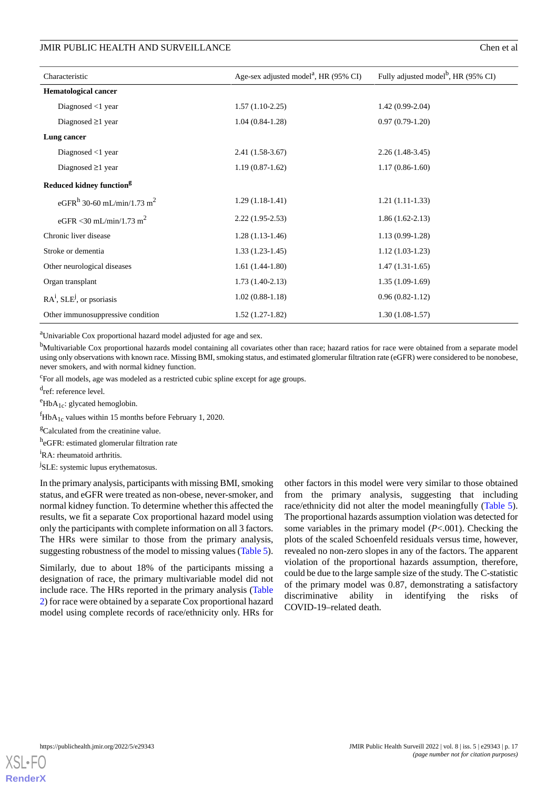#### JMIR PUBLIC HEALTH AND SURVEILLANCE **Chen et al.** Chen et al.

| Characteristic                                     | Age-sex adjusted model <sup>a</sup> , HR (95% CI) | Fully adjusted model <sup>b</sup> , HR (95% CI) |
|----------------------------------------------------|---------------------------------------------------|-------------------------------------------------|
| <b>Hematological cancer</b>                        |                                                   |                                                 |
| Diagnosed $\langle$ 1 year                         | $1.57(1.10-2.25)$                                 | $1.42(0.99-2.04)$                               |
| Diagnosed $\geq$ 1 year                            | $1.04(0.84-1.28)$                                 | $0.97(0.79-1.20)$                               |
| Lung cancer                                        |                                                   |                                                 |
| Diagnosed $<$ 1 year                               | $2.41(1.58-3.67)$                                 | $2.26(1.48-3.45)$                               |
| Diagnosed $\geq$ 1 year                            | $1.19(0.87-1.62)$                                 | $1.17(0.86-1.60)$                               |
| Reduced kidney function <sup>g</sup>               |                                                   |                                                 |
| eGFR <sup>h</sup> 30-60 mL/min/1.73 m <sup>2</sup> | $1.29(1.18-1.41)$                                 | $1.21(1.11-1.33)$                               |
| eGFR < 30 mL/min/1.73 m <sup>2</sup>               | $2.22(1.95-2.53)$                                 | $1.86(1.62-2.13)$                               |
| Chronic liver disease                              | $1.28(1.13-1.46)$                                 | $1.13(0.99-1.28)$                               |
| Stroke or dementia                                 | $1.33(1.23-1.45)$                                 | $1.12(1.03-1.23)$                               |
| Other neurological diseases                        | $1.61(1.44-1.80)$                                 | $1.47(1.31-1.65)$                               |
| Organ transplant                                   | $1.73(1.40-2.13)$                                 | $1.35(1.09-1.69)$                               |
| $RAi$ , SLE <sup>j</sup> , or psoriasis            | $1.02(0.88-1.18)$                                 | $0.96(0.82-1.12)$                               |
| Other immunosuppressive condition                  | $1.52(1.27-1.82)$                                 | $1.30(1.08-1.57)$                               |

<sup>a</sup>Univariable Cox proportional hazard model adjusted for age and sex.

<sup>b</sup>Multivariable Cox proportional hazards model containing all covariates other than race; hazard ratios for race were obtained from a separate model using only observations with known race. Missing BMI, smoking status, and estimated glomerular filtration rate (eGFR) were considered to be nonobese, never smokers, and with normal kidney function.

<sup>c</sup>For all models, age was modeled as a restricted cubic spline except for age groups.

d<sub>ref: reference level.</sub>

 $e^e$ HbA<sub>1c</sub>: glycated hemoglobin.

 ${}^f$ HbA<sub>1c</sub> values within 15 months before February 1, 2020.

<sup>g</sup>Calculated from the creatinine value.

h<sub>e</sub>GFR: estimated glomerular filtration rate

<sup>i</sup>RA: rheumatoid arthritis.

<sup>j</sup>SLE: systemic lupus erythematosus.

In the primary analysis, participants with missing BMI, smoking status, and eGFR were treated as non-obese, never-smoker, and normal kidney function. To determine whether this affected the results, we fit a separate Cox proportional hazard model using only the participants with complete information on all 3 factors. The HRs were similar to those from the primary analysis, suggesting robustness of the model to missing values ([Table 5\)](#page-17-0).

Similarly, due to about 18% of the participants missing a designation of race, the primary multivariable model did not include race. The HRs reported in the primary analysis ([Table](#page-9-0) [2\)](#page-9-0) for race were obtained by a separate Cox proportional hazard model using complete records of race/ethnicity only. HRs for

other factors in this model were very similar to those obtained from the primary analysis, suggesting that including race/ethnicity did not alter the model meaningfully ([Table 5\)](#page-17-0). The proportional hazards assumption violation was detected for some variables in the primary model (*P*<.001). Checking the plots of the scaled Schoenfeld residuals versus time, however, revealed no non-zero slopes in any of the factors. The apparent violation of the proportional hazards assumption, therefore, could be due to the large sample size of the study. The C-statistic of the primary model was 0.87, demonstrating a satisfactory discriminative ability in identifying the risks of COVID-19–related death.

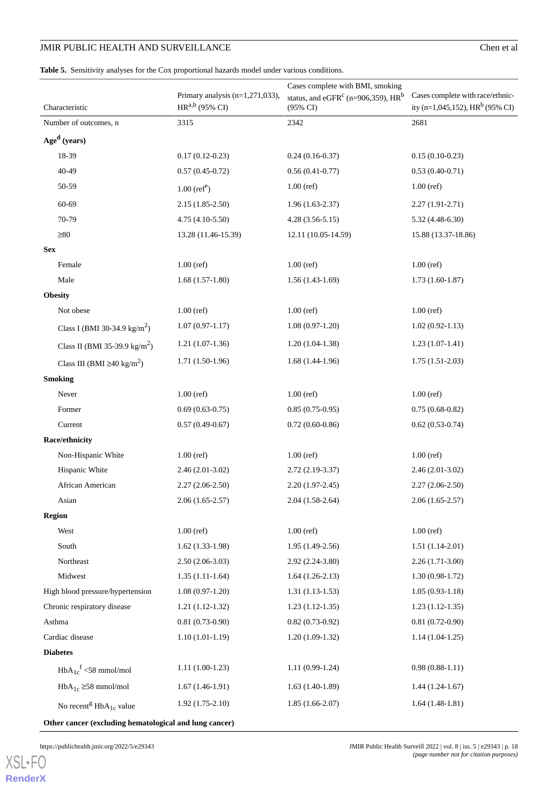<span id="page-17-0"></span>**Table 5.** Sensitivity analyses for the Cox proportional hazards model under various conditions.

| ity (n=1,045,152), HR <sup>b</sup> (95% CI)<br>$HR^{a,b}$ (95% CI)<br>$(95\% \text{ CI})$<br>Characteristic<br>2681<br>2342<br>3315<br>Number of outcomes, n<br>Age <sup>d</sup> (years)<br>18-39<br>$0.17(0.12-0.23)$<br>$0.24(0.16-0.37)$<br>$0.15(0.10-0.23)$<br>$40 - 49$<br>$0.57(0.45-0.72)$<br>$0.56(0.41-0.77)$<br>$0.53(0.40-0.71)$<br>50-59<br>$1.00$ (ref)<br>$1.00$ (ref)<br>$1.00$ (ref <sup>e</sup> )<br>60-69<br>$2.15(1.85-2.50)$<br>$1.96(1.63-2.37)$<br>$2.27(1.91 - 2.71)$<br>70-79<br>4.75 (4.10-5.50)<br>$4.28(3.56-5.15)$<br>$5.32(4.48-6.30)$<br>$\geq 80$<br>13.28 (11.46-15.39)<br>12.11 (10.05-14.59)<br>15.88 (13.37-18.86)<br><b>Sex</b><br>$1.00$ (ref)<br>$1.00$ (ref)<br>$1.00$ (ref)<br>Female<br>Male<br>$1.68(1.57-1.80)$<br>$1.73(1.60-1.87)$<br>$1.56(1.43-1.69)$<br><b>Obesity</b><br>Not obese<br>$1.00$ (ref)<br>$1.00$ (ref)<br>$1.00$ (ref) |                                    | Cases complete with BMI, smoking                 |                                  |
|--------------------------------------------------------------------------------------------------------------------------------------------------------------------------------------------------------------------------------------------------------------------------------------------------------------------------------------------------------------------------------------------------------------------------------------------------------------------------------------------------------------------------------------------------------------------------------------------------------------------------------------------------------------------------------------------------------------------------------------------------------------------------------------------------------------------------------------------------------------------------------------|------------------------------------|--------------------------------------------------|----------------------------------|
|                                                                                                                                                                                                                                                                                                                                                                                                                                                                                                                                                                                                                                                                                                                                                                                                                                                                                      | Primary analysis $(n=1,271,033)$ , | status, and eGFR <sup>c</sup> (n=906,359), $HRb$ | Cases complete with race/ethnic- |
|                                                                                                                                                                                                                                                                                                                                                                                                                                                                                                                                                                                                                                                                                                                                                                                                                                                                                      |                                    |                                                  |                                  |
|                                                                                                                                                                                                                                                                                                                                                                                                                                                                                                                                                                                                                                                                                                                                                                                                                                                                                      |                                    |                                                  |                                  |
|                                                                                                                                                                                                                                                                                                                                                                                                                                                                                                                                                                                                                                                                                                                                                                                                                                                                                      |                                    |                                                  |                                  |
|                                                                                                                                                                                                                                                                                                                                                                                                                                                                                                                                                                                                                                                                                                                                                                                                                                                                                      |                                    |                                                  |                                  |
|                                                                                                                                                                                                                                                                                                                                                                                                                                                                                                                                                                                                                                                                                                                                                                                                                                                                                      |                                    |                                                  |                                  |
|                                                                                                                                                                                                                                                                                                                                                                                                                                                                                                                                                                                                                                                                                                                                                                                                                                                                                      |                                    |                                                  |                                  |
|                                                                                                                                                                                                                                                                                                                                                                                                                                                                                                                                                                                                                                                                                                                                                                                                                                                                                      |                                    |                                                  |                                  |
|                                                                                                                                                                                                                                                                                                                                                                                                                                                                                                                                                                                                                                                                                                                                                                                                                                                                                      |                                    |                                                  |                                  |
|                                                                                                                                                                                                                                                                                                                                                                                                                                                                                                                                                                                                                                                                                                                                                                                                                                                                                      |                                    |                                                  |                                  |
|                                                                                                                                                                                                                                                                                                                                                                                                                                                                                                                                                                                                                                                                                                                                                                                                                                                                                      |                                    |                                                  |                                  |
|                                                                                                                                                                                                                                                                                                                                                                                                                                                                                                                                                                                                                                                                                                                                                                                                                                                                                      |                                    |                                                  |                                  |
|                                                                                                                                                                                                                                                                                                                                                                                                                                                                                                                                                                                                                                                                                                                                                                                                                                                                                      |                                    |                                                  |                                  |
|                                                                                                                                                                                                                                                                                                                                                                                                                                                                                                                                                                                                                                                                                                                                                                                                                                                                                      |                                    |                                                  |                                  |
| $1.07(0.97-1.17)$<br>$1.08(0.97-1.20)$<br>$1.02(0.92 - 1.13)$<br>Class I (BMI 30-34.9 kg/m <sup>2</sup> )                                                                                                                                                                                                                                                                                                                                                                                                                                                                                                                                                                                                                                                                                                                                                                            |                                    |                                                  |                                  |
| $1.21(1.07-1.36)$<br>$1.20(1.04-1.38)$<br>$1.23(1.07-1.41)$<br>Class II (BMI 35-39.9 kg/m <sup>2</sup> )                                                                                                                                                                                                                                                                                                                                                                                                                                                                                                                                                                                                                                                                                                                                                                             |                                    |                                                  |                                  |
| $1.71(1.50-1.96)$<br>$1.68(1.44-1.96)$<br>$1.75(1.51-2.03)$<br>Class III (BMI $\geq 40 \text{ kg/m}^2$ )                                                                                                                                                                                                                                                                                                                                                                                                                                                                                                                                                                                                                                                                                                                                                                             |                                    |                                                  |                                  |
| <b>Smoking</b>                                                                                                                                                                                                                                                                                                                                                                                                                                                                                                                                                                                                                                                                                                                                                                                                                                                                       |                                    |                                                  |                                  |
| $1.00$ (ref)<br>$1.00$ (ref)<br>Never<br>$1.00$ (ref)                                                                                                                                                                                                                                                                                                                                                                                                                                                                                                                                                                                                                                                                                                                                                                                                                                |                                    |                                                  |                                  |
| Former<br>$0.69(0.63-0.75)$<br>$0.85(0.75-0.95)$<br>$0.75(0.68-0.82)$                                                                                                                                                                                                                                                                                                                                                                                                                                                                                                                                                                                                                                                                                                                                                                                                                |                                    |                                                  |                                  |
| $0.57(0.49-0.67)$<br>Current<br>$0.72(0.60-0.86)$<br>$0.62(0.53-0.74)$                                                                                                                                                                                                                                                                                                                                                                                                                                                                                                                                                                                                                                                                                                                                                                                                               |                                    |                                                  |                                  |
| Race/ethnicity                                                                                                                                                                                                                                                                                                                                                                                                                                                                                                                                                                                                                                                                                                                                                                                                                                                                       |                                    |                                                  |                                  |
| Non-Hispanic White<br>$1.00$ (ref)<br>$1.00$ (ref)<br>$1.00$ (ref)                                                                                                                                                                                                                                                                                                                                                                                                                                                                                                                                                                                                                                                                                                                                                                                                                   |                                    |                                                  |                                  |
| Hispanic White<br>$2.72(2.19-3.37)$<br>$2.46(2.01-3.02)$<br>$2.46(2.01-3.02)$                                                                                                                                                                                                                                                                                                                                                                                                                                                                                                                                                                                                                                                                                                                                                                                                        |                                    |                                                  |                                  |
| African American<br>$2.27(2.06-2.50)$<br>$2.20(1.97-2.45)$<br>$2.27(2.06-2.50)$                                                                                                                                                                                                                                                                                                                                                                                                                                                                                                                                                                                                                                                                                                                                                                                                      |                                    |                                                  |                                  |
| Asian<br>$2.06(1.65-2.57)$<br>$2.04(1.58-2.64)$<br>$2.06(1.65-2.57)$                                                                                                                                                                                                                                                                                                                                                                                                                                                                                                                                                                                                                                                                                                                                                                                                                 |                                    |                                                  |                                  |
| <b>Region</b>                                                                                                                                                                                                                                                                                                                                                                                                                                                                                                                                                                                                                                                                                                                                                                                                                                                                        |                                    |                                                  |                                  |
| $1.00$ (ref)<br>$1.00$ (ref)<br>West<br>$1.00$ (ref)                                                                                                                                                                                                                                                                                                                                                                                                                                                                                                                                                                                                                                                                                                                                                                                                                                 |                                    |                                                  |                                  |
| South<br>$1.62(1.33-1.98)$<br>$1.95(1.49-2.56)$<br>$1.51(1.14-2.01)$                                                                                                                                                                                                                                                                                                                                                                                                                                                                                                                                                                                                                                                                                                                                                                                                                 |                                    |                                                  |                                  |
| Northeast<br>$2.50(2.06-3.03)$<br>$2.92(2.24-3.80)$<br>$2.26(1.71-3.00)$                                                                                                                                                                                                                                                                                                                                                                                                                                                                                                                                                                                                                                                                                                                                                                                                             |                                    |                                                  |                                  |
| Midwest<br>$1.35(1.11-1.64)$<br>$1.30(0.98-1.72)$<br>$1.64(1.26-2.13)$                                                                                                                                                                                                                                                                                                                                                                                                                                                                                                                                                                                                                                                                                                                                                                                                               |                                    |                                                  |                                  |
| High blood pressure/hypertension<br>$1.08(0.97-1.20)$<br>$1.31(1.13-1.53)$<br>$1.05(0.93-1.18)$                                                                                                                                                                                                                                                                                                                                                                                                                                                                                                                                                                                                                                                                                                                                                                                      |                                    |                                                  |                                  |
| Chronic respiratory disease<br>$1.21(1.12-1.32)$<br>$1.23(1.12-1.35)$<br>$1.23(1.12-1.35)$                                                                                                                                                                                                                                                                                                                                                                                                                                                                                                                                                                                                                                                                                                                                                                                           |                                    |                                                  |                                  |
| Asthma<br>$0.81(0.73-0.90)$<br>$0.82(0.73-0.92)$<br>$0.81(0.72-0.90)$                                                                                                                                                                                                                                                                                                                                                                                                                                                                                                                                                                                                                                                                                                                                                                                                                |                                    |                                                  |                                  |
| Cardiac disease<br>$1.10(1.01-1.19)$<br>$1.20(1.09-1.32)$<br>$1.14(1.04-1.25)$                                                                                                                                                                                                                                                                                                                                                                                                                                                                                                                                                                                                                                                                                                                                                                                                       |                                    |                                                  |                                  |
| <b>Diabetes</b>                                                                                                                                                                                                                                                                                                                                                                                                                                                                                                                                                                                                                                                                                                                                                                                                                                                                      |                                    |                                                  |                                  |
| $1.11(1.00-1.23)$<br>$0.98(0.88-1.11)$<br>$1.11(0.99-1.24)$<br>$HbA_{1c}^f \leq 58$ mmol/mol                                                                                                                                                                                                                                                                                                                                                                                                                                                                                                                                                                                                                                                                                                                                                                                         |                                    |                                                  |                                  |
| $HbA_{1c} \geq 58$ mmol/mol<br>$1.63(1.40-1.89)$<br>$1.67(1.46-1.91)$<br>$1.44(1.24-1.67)$                                                                                                                                                                                                                                                                                                                                                                                                                                                                                                                                                                                                                                                                                                                                                                                           |                                    |                                                  |                                  |
| $1.92(1.75-2.10)$<br>$1.85(1.66-2.07)$<br>$1.64(1.48-1.81)$<br>No recent <sup>g</sup> $HbA_{1c}$ value                                                                                                                                                                                                                                                                                                                                                                                                                                                                                                                                                                                                                                                                                                                                                                               |                                    |                                                  |                                  |

**Other cancer (excluding hematological and lung cancer)**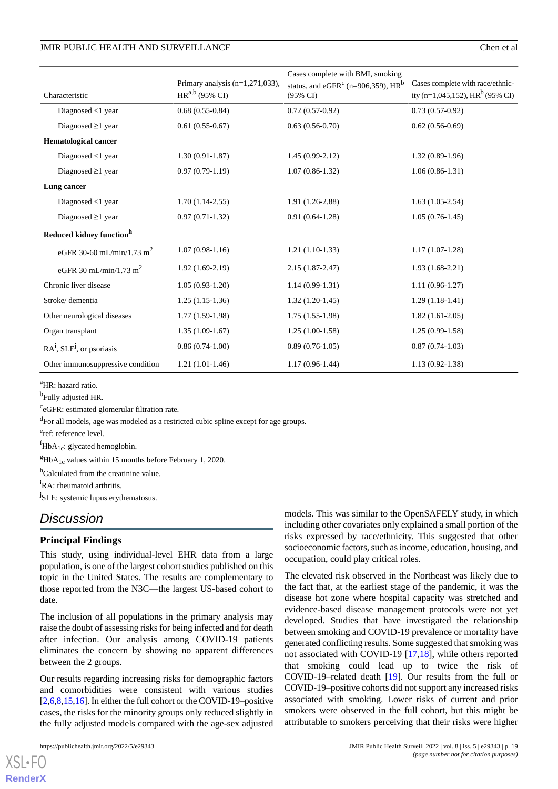#### JMIR PUBLIC HEALTH AND SURVEILLANCE

| Chen et al |  |
|------------|--|
|------------|--|

|                                         |                                    | Cases complete with BMI, smoking                           |                                   |
|-----------------------------------------|------------------------------------|------------------------------------------------------------|-----------------------------------|
|                                         | Primary analysis $(n=1,271,033)$ , | status, and eGFR <sup>c</sup> (n=906,359), HR <sup>b</sup> | Cases complete with race/ethnic-  |
| Characteristic                          | $HR^{a,b}$ (95% CI)                | $(95\% \text{ CI})$                                        | ity (n=1,045,152), $HRb$ (95% CI) |
| Diagnosed $<$ 1 year                    | $0.68(0.55-0.84)$                  | $0.72(0.57-0.92)$                                          | $0.73(0.57-0.92)$                 |
| Diagnosed $\geq$ 1 year                 | $0.61(0.55-0.67)$                  | $0.63(0.56-0.70)$                                          | $0.62(0.56-0.69)$                 |
| <b>Hematological cancer</b>             |                                    |                                                            |                                   |
| Diagnosed $<$ 1 year                    | $1.30(0.91-1.87)$                  | $1.45(0.99-2.12)$                                          | $1.32(0.89-1.96)$                 |
| Diagnosed $\geq$ 1 year                 | $0.97(0.79-1.19)$                  | $1.07(0.86 - 1.32)$                                        | $1.06(0.86-1.31)$                 |
| Lung cancer                             |                                    |                                                            |                                   |
| Diagnosed $<$ 1 year                    | $1.70(1.14-2.55)$                  | 1.91 (1.26-2.88)                                           | $1.63(1.05-2.54)$                 |
| Diagnosed $\geq$ 1 year                 | $0.97(0.71-1.32)$                  | $0.91(0.64-1.28)$                                          | $1.05(0.76-1.45)$                 |
| Reduced kidney function <sup>h</sup>    |                                    |                                                            |                                   |
| eGFR 30-60 mL/min/1.73 m <sup>2</sup>   | $1.07(0.98-1.16)$                  | $1.21(1.10-1.33)$                                          | $1.17(1.07-1.28)$                 |
| eGFR 30 mL/min/1.73 m <sup>2</sup>      | $1.92(1.69-2.19)$                  | $2.15(1.87-2.47)$                                          | $1.93(1.68-2.21)$                 |
| Chronic liver disease                   | $1.05(0.93-1.20)$                  | $1.14(0.99-1.31)$                                          | $1.11(0.96-1.27)$                 |
| Stroke/dementia                         | $1.25(1.15-1.36)$                  | $1.32(1.20-1.45)$                                          | $1.29(1.18-1.41)$                 |
| Other neurological diseases             | $1.77(1.59-1.98)$                  | $1.75(1.55-1.98)$                                          | $1.82(1.61-2.05)$                 |
| Organ transplant                        | $1.35(1.09-1.67)$                  | $1.25(1.00-1.58)$                                          | $1.25(0.99-1.58)$                 |
| $RAi$ , SLE <sup>j</sup> , or psoriasis | $0.86(0.74-1.00)$                  | $0.89(0.76-1.05)$                                          | $0.87(0.74-1.03)$                 |
| Other immunosuppressive condition       | $1.21(1.01-1.46)$                  | $1.17(0.96-1.44)$                                          | $1.13(0.92 - 1.38)$               |

<sup>a</sup>HR: hazard ratio.

<sup>b</sup>Fully adjusted HR.

<sup>c</sup>eGFR: estimated glomerular filtration rate.

<sup>d</sup>For all models, age was modeled as a restricted cubic spline except for age groups.

e<sub>ref: reference level.</sub>

 ${}^f$ HbA<sub>1c</sub>: glycated hemoglobin.

 ${}^{g}$ HbA<sub>1c</sub> values within 15 months before February 1, 2020.

<sup>h</sup>Calculated from the creatinine value.

<sup>i</sup>RA: rheumatoid arthritis.

<sup>j</sup>SLE: systemic lupus erythematosus.

# *Discussion*

#### **Principal Findings**

This study, using individual-level EHR data from a large population, is one of the largest cohort studies published on this topic in the United States. The results are complementary to those reported from the N3C—the largest US-based cohort to date.

The inclusion of all populations in the primary analysis may raise the doubt of assessing risks for being infected and for death after infection. Our analysis among COVID-19 patients eliminates the concern by showing no apparent differences between the 2 groups.

Our results regarding increasing risks for demographic factors and comorbidities were consistent with various studies [[2,](#page-20-1)[6](#page-20-4)[,8](#page-20-6),[15,](#page-20-13)[16\]](#page-20-14). In either the full cohort or the COVID-19–positive cases, the risks for the minority groups only reduced slightly in the fully adjusted models compared with the age-sex adjusted

[XSL](http://www.w3.org/Style/XSL)•FO **[RenderX](http://www.renderx.com/)**

models. This was similar to the OpenSAFELY study, in which including other covariates only explained a small portion of the risks expressed by race/ethnicity. This suggested that other socioeconomic factors, such as income, education, housing, and occupation, could play critical roles.

The elevated risk observed in the Northeast was likely due to the fact that, at the earliest stage of the pandemic, it was the disease hot zone where hospital capacity was stretched and evidence-based disease management protocols were not yet developed. Studies that have investigated the relationship between smoking and COVID-19 prevalence or mortality have generated conflicting results. Some suggested that smoking was not associated with COVID-19 [\[17](#page-20-15),[18\]](#page-20-16), while others reported that smoking could lead up to twice the risk of COVID-19–related death [\[19](#page-20-17)]. Our results from the full or COVID-19–positive cohorts did not support any increased risks associated with smoking. Lower risks of current and prior smokers were observed in the full cohort, but this might be attributable to smokers perceiving that their risks were higher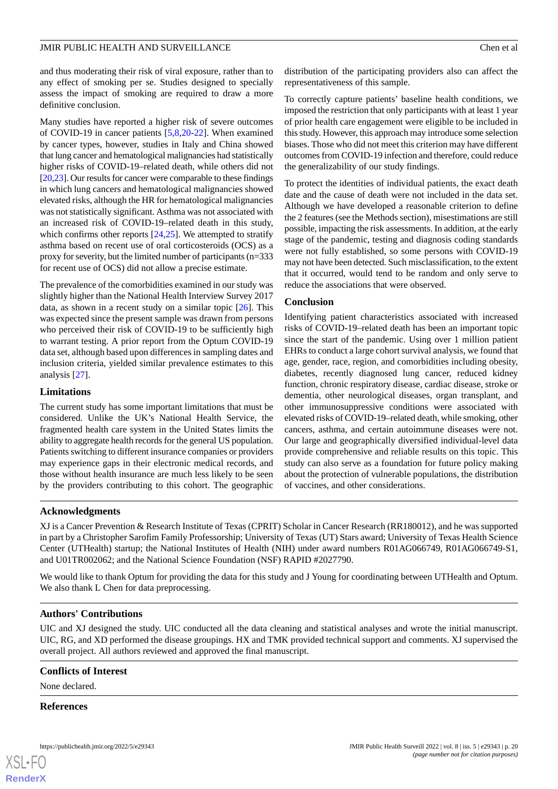and thus moderating their risk of viral exposure, rather than to any effect of smoking per se. Studies designed to specially assess the impact of smoking are required to draw a more definitive conclusion.

Many studies have reported a higher risk of severe outcomes of COVID-19 in cancer patients [[5](#page-20-3)[,8](#page-20-6),[20-](#page-20-18)[22](#page-20-19)]. When examined by cancer types, however, studies in Italy and China showed that lung cancer and hematological malignancies had statistically higher risks of COVID-19–related death, while others did not [[20,](#page-20-18)[23\]](#page-20-20). Our results for cancer were comparable to these findings in which lung cancers and hematological malignancies showed elevated risks, although the HR for hematological malignancies was not statistically significant. Asthma was not associated with an increased risk of COVID-19–related death in this study, which confirms other reports  $[24,25]$  $[24,25]$  $[24,25]$ . We attempted to stratify asthma based on recent use of oral corticosteroids (OCS) as a proxy for severity, but the limited number of participants (n=333 for recent use of OCS) did not allow a precise estimate.

The prevalence of the comorbidities examined in our study was slightly higher than the National Health Interview Survey 2017 data, as shown in a recent study on a similar topic [[26\]](#page-21-2). This was expected since the present sample was drawn from persons who perceived their risk of COVID-19 to be sufficiently high to warrant testing. A prior report from the Optum COVID-19 data set, although based upon differences in sampling dates and inclusion criteria, yielded similar prevalence estimates to this analysis [[27\]](#page-21-3).

#### **Limitations**

The current study has some important limitations that must be considered. Unlike the UK's National Health Service, the fragmented health care system in the United States limits the ability to aggregate health records for the general US population. Patients switching to different insurance companies or providers may experience gaps in their electronic medical records, and those without health insurance are much less likely to be seen by the providers contributing to this cohort. The geographic

distribution of the participating providers also can affect the representativeness of this sample.

To correctly capture patients' baseline health conditions, we imposed the restriction that only participants with at least 1 year of prior health care engagement were eligible to be included in this study. However, this approach may introduce some selection biases. Those who did not meet this criterion may have different outcomes from COVID-19 infection and therefore, could reduce the generalizability of our study findings.

To protect the identities of individual patients, the exact death date and the cause of death were not included in the data set. Although we have developed a reasonable criterion to define the 2 features (see the Methods section), misestimations are still possible, impacting the risk assessments. In addition, at the early stage of the pandemic, testing and diagnosis coding standards were not fully established, so some persons with COVID-19 may not have been detected. Such misclassification, to the extent that it occurred, would tend to be random and only serve to reduce the associations that were observed.

#### **Conclusion**

Identifying patient characteristics associated with increased risks of COVID-19–related death has been an important topic since the start of the pandemic. Using over 1 million patient EHRs to conduct a large cohort survival analysis, we found that age, gender, race, region, and comorbidities including obesity, diabetes, recently diagnosed lung cancer, reduced kidney function, chronic respiratory disease, cardiac disease, stroke or dementia, other neurological diseases, organ transplant, and other immunosuppressive conditions were associated with elevated risks of COVID-19–related death, while smoking, other cancers, asthma, and certain autoimmune diseases were not. Our large and geographically diversified individual-level data provide comprehensive and reliable results on this topic. This study can also serve as a foundation for future policy making about the protection of vulnerable populations, the distribution of vaccines, and other considerations.

#### **Acknowledgments**

XJ is a Cancer Prevention & Research Institute of Texas (CPRIT) Scholar in Cancer Research (RR180012), and he was supported in part by a Christopher Sarofim Family Professorship; University of Texas (UT) Stars award; University of Texas Health Science Center (UTHealth) startup; the National Institutes of Health (NIH) under award numbers R01AG066749, R01AG066749-S1, and U01TR002062; and the National Science Foundation (NSF) RAPID #2027790.

We would like to thank Optum for providing the data for this study and J Young for coordinating between UTHealth and Optum. We also thank L Chen for data preprocessing.

#### **Authors' Contributions**

UIC and XJ designed the study. UIC conducted all the data cleaning and statistical analyses and wrote the initial manuscript. UIC, RG, and XD performed the disease groupings. HX and TMK provided technical support and comments. XJ supervised the overall project. All authors reviewed and approved the final manuscript.

#### **Conflicts of Interest**

None declared.

#### **References**

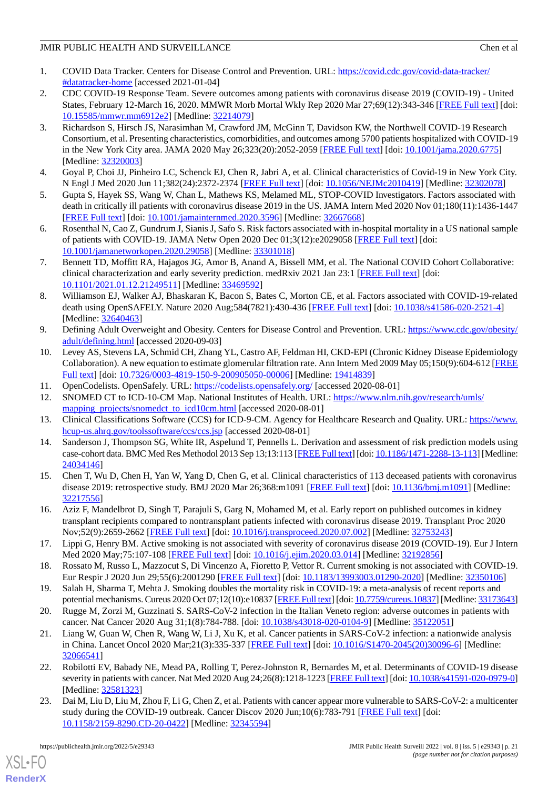- <span id="page-20-0"></span>1. COVID Data Tracker. Centers for Disease Control and Prevention. URL: [https://covid.cdc.gov/covid-data-tracker/](https://covid.cdc.gov/covid-data-tracker/#datatracker-home) [#datatracker-home](https://covid.cdc.gov/covid-data-tracker/#datatracker-home) [accessed 2021-01-04]
- <span id="page-20-1"></span>2. CDC COVID-19 Response Team. Severe outcomes among patients with coronavirus disease 2019 (COVID-19) - United States, February 12-March 16, 2020. MMWR Morb Mortal Wkly Rep 2020 Mar 27;69(12):343-346 [[FREE Full text](https://doi.org/10.15585/mmwr.mm6912e2)] [doi: [10.15585/mmwr.mm6912e2\]](http://dx.doi.org/10.15585/mmwr.mm6912e2) [Medline: [32214079\]](http://www.ncbi.nlm.nih.gov/entrez/query.fcgi?cmd=Retrieve&db=PubMed&list_uids=32214079&dopt=Abstract)
- 3. Richardson S, Hirsch JS, Narasimhan M, Crawford JM, McGinn T, Davidson KW, the Northwell COVID-19 Research Consortium, et al. Presenting characteristics, comorbidities, and outcomes among 5700 patients hospitalized with COVID-19 in the New York City area. JAMA 2020 May 26;323(20):2052-2059 [[FREE Full text](http://europepmc.org/abstract/MED/32320003)] [doi: [10.1001/jama.2020.6775](http://dx.doi.org/10.1001/jama.2020.6775)] [Medline: [32320003](http://www.ncbi.nlm.nih.gov/entrez/query.fcgi?cmd=Retrieve&db=PubMed&list_uids=32320003&dopt=Abstract)]
- <span id="page-20-3"></span><span id="page-20-2"></span>4. Goyal P, Choi JJ, Pinheiro LC, Schenck EJ, Chen R, Jabri A, et al. Clinical characteristics of Covid-19 in New York City. N Engl J Med 2020 Jun 11;382(24):2372-2374 [\[FREE Full text](http://europepmc.org/abstract/MED/32302078)] [doi: [10.1056/NEJMc2010419\]](http://dx.doi.org/10.1056/NEJMc2010419) [Medline: [32302078](http://www.ncbi.nlm.nih.gov/entrez/query.fcgi?cmd=Retrieve&db=PubMed&list_uids=32302078&dopt=Abstract)]
- <span id="page-20-4"></span>5. Gupta S, Hayek SS, Wang W, Chan L, Mathews KS, Melamed ML, STOP-COVID Investigators. Factors associated with death in critically ill patients with coronavirus disease 2019 in the US. JAMA Intern Med 2020 Nov 01;180(11):1436-1447 [[FREE Full text](http://europepmc.org/abstract/MED/32667668)] [doi: [10.1001/jamainternmed.2020.3596\]](http://dx.doi.org/10.1001/jamainternmed.2020.3596) [Medline: [32667668\]](http://www.ncbi.nlm.nih.gov/entrez/query.fcgi?cmd=Retrieve&db=PubMed&list_uids=32667668&dopt=Abstract)
- <span id="page-20-5"></span>6. Rosenthal N, Cao Z, Gundrum J, Sianis J, Safo S. Risk factors associated with in-hospital mortality in a US national sample of patients with COVID-19. JAMA Netw Open 2020 Dec 01;3(12):e2029058 [[FREE Full text](https://jamanetwork.com/journals/jamanetworkopen/fullarticle/10.1001/jamanetworkopen.2020.29058)] [doi: [10.1001/jamanetworkopen.2020.29058](http://dx.doi.org/10.1001/jamanetworkopen.2020.29058)] [Medline: [33301018](http://www.ncbi.nlm.nih.gov/entrez/query.fcgi?cmd=Retrieve&db=PubMed&list_uids=33301018&dopt=Abstract)]
- <span id="page-20-6"></span>7. Bennett TD, Moffitt RA, Hajagos JG, Amor B, Anand A, Bissell MM, et al. The National COVID Cohort Collaborative: clinical characterization and early severity prediction. medRxiv 2021 Jan 23:1 [\[FREE Full text\]](https://doi.org/10.1101/2021.01.12.21249511) [doi: [10.1101/2021.01.12.21249511](http://dx.doi.org/10.1101/2021.01.12.21249511)] [Medline: [33469592](http://www.ncbi.nlm.nih.gov/entrez/query.fcgi?cmd=Retrieve&db=PubMed&list_uids=33469592&dopt=Abstract)]
- <span id="page-20-7"></span>8. Williamson EJ, Walker AJ, Bhaskaran K, Bacon S, Bates C, Morton CE, et al. Factors associated with COVID-19-related death using OpenSAFELY. Nature 2020 Aug;584(7821):430-436 [[FREE Full text](http://europepmc.org/abstract/MED/32640463)] [doi: [10.1038/s41586-020-2521-4\]](http://dx.doi.org/10.1038/s41586-020-2521-4) [Medline: [32640463](http://www.ncbi.nlm.nih.gov/entrez/query.fcgi?cmd=Retrieve&db=PubMed&list_uids=32640463&dopt=Abstract)]
- <span id="page-20-8"></span>9. Defining Adult Overweight and Obesity. Centers for Disease Control and Prevention. URL: [https://www.cdc.gov/obesity/](https://www.cdc.gov/obesity/adult/defining.html) [adult/defining.html](https://www.cdc.gov/obesity/adult/defining.html) [accessed 2020-09-03]
- <span id="page-20-10"></span><span id="page-20-9"></span>10. Levey AS, Stevens LA, Schmid CH, Zhang YL, Castro AF, Feldman HI, CKD-EPI (Chronic Kidney Disease Epidemiology Collaboration). A new equation to estimate glomerular filtration rate. Ann Intern Med 2009 May 05;150(9):604-612 [\[FREE](http://europepmc.org/abstract/MED/19414839) [Full text\]](http://europepmc.org/abstract/MED/19414839) [doi: [10.7326/0003-4819-150-9-200905050-00006](http://dx.doi.org/10.7326/0003-4819-150-9-200905050-00006)] [Medline: [19414839\]](http://www.ncbi.nlm.nih.gov/entrez/query.fcgi?cmd=Retrieve&db=PubMed&list_uids=19414839&dopt=Abstract)
- <span id="page-20-11"></span>11. OpenCodelists. OpenSafely. URL:<https://codelists.opensafely.org/> [accessed 2020-08-01]
- <span id="page-20-12"></span>12. SNOMED CT to ICD-10-CM Map. National Institutes of Health. URL: [https://www.nlm.nih.gov/research/umls/](https://www.nlm.nih.gov/research/umls/mapping_projects/snomedct_to_icd10cm.html) mapping projects/snomedct\_to\_icd10cm.html [accessed 2020-08-01]
- <span id="page-20-13"></span>13. Clinical Classifications Software (CCS) for ICD-9-CM. Agency for Healthcare Research and Quality. URL: [https://www.](https://www.hcup-us.ahrq.gov/toolssoftware/ccs/ccs.jsp) [hcup-us.ahrq.gov/toolssoftware/ccs/ccs.jsp](https://www.hcup-us.ahrq.gov/toolssoftware/ccs/ccs.jsp) [accessed 2020-08-01]
- 14. Sanderson J, Thompson SG, White IR, Aspelund T, Pennells L. Derivation and assessment of risk prediction models using case-cohort data. BMC Med Res Methodol 2013 Sep 13;13:113 [\[FREE Full text\]](https://bmcmedresmethodol.biomedcentral.com/articles/10.1186/1471-2288-13-113) [doi: [10.1186/1471-2288-13-113\]](http://dx.doi.org/10.1186/1471-2288-13-113) [Medline: [24034146](http://www.ncbi.nlm.nih.gov/entrez/query.fcgi?cmd=Retrieve&db=PubMed&list_uids=24034146&dopt=Abstract)]
- <span id="page-20-15"></span><span id="page-20-14"></span>15. Chen T, Wu D, Chen H, Yan W, Yang D, Chen G, et al. Clinical characteristics of 113 deceased patients with coronavirus disease 2019: retrospective study. BMJ 2020 Mar 26;368:m1091 [[FREE Full text](http://www.bmj.com/lookup/pmidlookup?view=long&pmid=32217556)] [doi: [10.1136/bmj.m1091\]](http://dx.doi.org/10.1136/bmj.m1091) [Medline: [32217556](http://www.ncbi.nlm.nih.gov/entrez/query.fcgi?cmd=Retrieve&db=PubMed&list_uids=32217556&dopt=Abstract)]
- <span id="page-20-16"></span>16. Aziz F, Mandelbrot D, Singh T, Parajuli S, Garg N, Mohamed M, et al. Early report on published outcomes in kidney transplant recipients compared to nontransplant patients infected with coronavirus disease 2019. Transplant Proc 2020 Nov;52(9):2659-2662 [[FREE Full text](http://europepmc.org/abstract/MED/32753243)] [doi: [10.1016/j.transproceed.2020.07.002\]](http://dx.doi.org/10.1016/j.transproceed.2020.07.002) [Medline: [32753243\]](http://www.ncbi.nlm.nih.gov/entrez/query.fcgi?cmd=Retrieve&db=PubMed&list_uids=32753243&dopt=Abstract)
- <span id="page-20-18"></span><span id="page-20-17"></span>17. Lippi G, Henry BM. Active smoking is not associated with severity of coronavirus disease 2019 (COVID-19). Eur J Intern Med 2020 May;75:107-108 [[FREE Full text](http://europepmc.org/abstract/MED/32192856)] [doi: [10.1016/j.ejim.2020.03.014](http://dx.doi.org/10.1016/j.ejim.2020.03.014)] [Medline: [32192856](http://www.ncbi.nlm.nih.gov/entrez/query.fcgi?cmd=Retrieve&db=PubMed&list_uids=32192856&dopt=Abstract)]
- 18. Rossato M, Russo L, Mazzocut S, Di Vincenzo A, Fioretto P, Vettor R. Current smoking is not associated with COVID-19. Eur Respir J 2020 Jun 29;55(6):2001290 [\[FREE Full text\]](http://erj.ersjournals.com/cgi/pmidlookup?view=long&pmid=32350106) [doi: [10.1183/13993003.01290-2020](http://dx.doi.org/10.1183/13993003.01290-2020)] [Medline: [32350106\]](http://www.ncbi.nlm.nih.gov/entrez/query.fcgi?cmd=Retrieve&db=PubMed&list_uids=32350106&dopt=Abstract)
- 19. Salah H, Sharma T, Mehta J. Smoking doubles the mortality risk in COVID-19: a meta-analysis of recent reports and potential mechanisms. Cureus 2020 Oct 07;12(10):e10837 [\[FREE Full text\]](http://europepmc.org/abstract/MED/33173643) [doi: [10.7759/cureus.10837](http://dx.doi.org/10.7759/cureus.10837)] [Medline: [33173643\]](http://www.ncbi.nlm.nih.gov/entrez/query.fcgi?cmd=Retrieve&db=PubMed&list_uids=33173643&dopt=Abstract)
- <span id="page-20-19"></span>20. Rugge M, Zorzi M, Guzzinati S. SARS-CoV-2 infection in the Italian Veneto region: adverse outcomes in patients with cancer. Nat Cancer 2020 Aug 31;1(8):784-788. [doi: [10.1038/s43018-020-0104-9](http://dx.doi.org/10.1038/s43018-020-0104-9)] [Medline: [35122051\]](http://www.ncbi.nlm.nih.gov/entrez/query.fcgi?cmd=Retrieve&db=PubMed&list_uids=35122051&dopt=Abstract)
- <span id="page-20-20"></span>21. Liang W, Guan W, Chen R, Wang W, Li J, Xu K, et al. Cancer patients in SARS-CoV-2 infection: a nationwide analysis in China. Lancet Oncol 2020 Mar;21(3):335-337 [[FREE Full text](http://europepmc.org/abstract/MED/32066541)] [doi: [10.1016/S1470-2045\(20\)30096-6\]](http://dx.doi.org/10.1016/S1470-2045(20)30096-6) [Medline: [32066541](http://www.ncbi.nlm.nih.gov/entrez/query.fcgi?cmd=Retrieve&db=PubMed&list_uids=32066541&dopt=Abstract)]
- 22. Robilotti EV, Babady NE, Mead PA, Rolling T, Perez-Johnston R, Bernardes M, et al. Determinants of COVID-19 disease severity in patients with cancer. Nat Med 2020 Aug 24;26(8):1218-1223 [\[FREE Full text\]](http://europepmc.org/abstract/MED/32581323) [doi: [10.1038/s41591-020-0979-0\]](http://dx.doi.org/10.1038/s41591-020-0979-0) [Medline: [32581323](http://www.ncbi.nlm.nih.gov/entrez/query.fcgi?cmd=Retrieve&db=PubMed&list_uids=32581323&dopt=Abstract)]
- 23. Dai M, Liu D, Liu M, Zhou F, Li G, Chen Z, et al. Patients with cancer appear more vulnerable to SARS-CoV-2: a multicenter study during the COVID-19 outbreak. Cancer Discov 2020 Jun;10(6):783-791 [\[FREE Full text\]](http://europepmc.org/abstract/MED/32345594) [doi: [10.1158/2159-8290.CD-20-0422](http://dx.doi.org/10.1158/2159-8290.CD-20-0422)] [Medline: [32345594\]](http://www.ncbi.nlm.nih.gov/entrez/query.fcgi?cmd=Retrieve&db=PubMed&list_uids=32345594&dopt=Abstract)